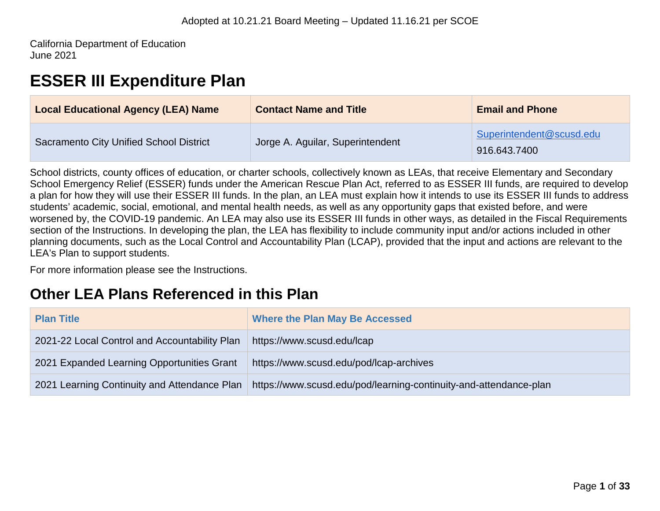California Department of Education June 2021

# **ESSER III Expenditure Plan**

| <b>Local Educational Agency (LEA) Name</b>     | <b>Contact Name and Title</b>    | <b>Email and Phone</b>                   |
|------------------------------------------------|----------------------------------|------------------------------------------|
| <b>Sacramento City Unified School District</b> | Jorge A. Aguilar, Superintendent | Superintendent@scusd.edu<br>916.643.7400 |

School districts, county offices of education, or charter schools, collectively known as LEAs, that receive Elementary and Secondary School Emergency Relief (ESSER) funds under the American Rescue Plan Act, referred to as ESSER III funds, are required to develop a plan for how they will use their ESSER III funds. In the plan, an LEA must explain how it intends to use its ESSER III funds to address students' academic, social, emotional, and mental health needs, as well as any opportunity gaps that existed before, and were worsened by, the COVID-19 pandemic. An LEA may also use its ESSER III funds in other ways, as detailed in the Fiscal Requirements section of the Instructions. In developing the plan, the LEA has flexibility to include community input and/or actions included in other planning documents, such as the Local Control and Accountability Plan (LCAP), provided that the input and actions are relevant to the LEA's Plan to support students.

For more information please see the Instructions.

# **Other LEA Plans Referenced in this Plan**

| <b>Plan Title</b>                             | <b>Where the Plan May Be Accessed</b>                             |
|-----------------------------------------------|-------------------------------------------------------------------|
| 2021-22 Local Control and Accountability Plan | https://www.scusd.edu/lcap                                        |
| 2021 Expanded Learning Opportunities Grant    | https://www.scusd.edu/pod/lcap-archives                           |
| 2021 Learning Continuity and Attendance Plan  | https://www.scusd.edu/pod/learning-continuity-and-attendance-plan |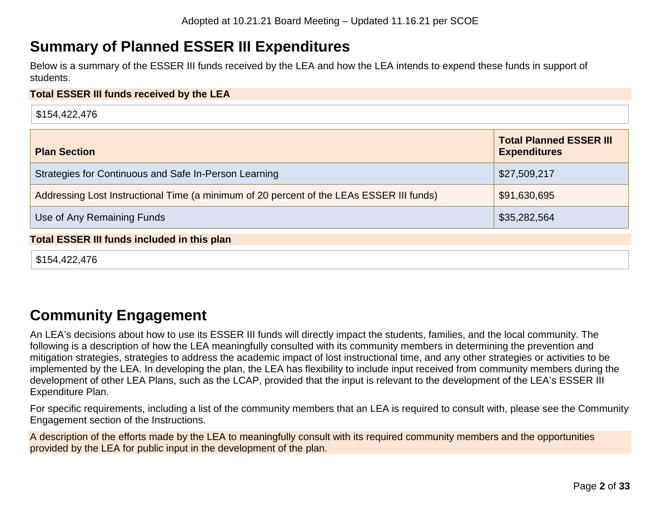# **Summary of Planned ESSER III Expenditures**

Below is a summary of the ESSER III funds received by the LEA and how the LEA intends to expend these funds in support of students.

#### **Total ESSER III funds received by the LEA**

| \$154,422,476                                                                            |                                                       |
|------------------------------------------------------------------------------------------|-------------------------------------------------------|
| <b>Plan Section</b>                                                                      | <b>Total Planned ESSER III</b><br><b>Expenditures</b> |
| Strategies for Continuous and Safe In-Person Learning                                    | \$27,509,217                                          |
| Addressing Lost Instructional Time (a minimum of 20 percent of the LEAs ESSER III funds) | \$91,630,695                                          |
| Use of Any Remaining Funds                                                               | \$35,282,564                                          |
| <b>Total ESSER III funds included in this plan</b>                                       |                                                       |
| \$154,422,476                                                                            |                                                       |

# **Community Engagement**

An LEA's decisions about how to use its ESSER III funds will directly impact the students, families, and the local community. The following is a description of how the LEA meaningfully consulted with its community members in determining the prevention and mitigation strategies, strategies to address the academic impact of lost instructional time, and any other strategies or activities to be implemented by the LEA. In developing the plan, the LEA has flexibility to include input received from community members during the development of other LEA Plans, such as the LCAP, provided that the input is relevant to the development of the LEA's ESSER III Expenditure Plan.

For specific requirements, including a list of the community members that an LEA is required to consult with, please see the Community Engagement section of the Instructions.

A description of the efforts made by the LEA to meaningfully consult with its required community members and the opportunities provided by the LEA for public input in the development of the plan.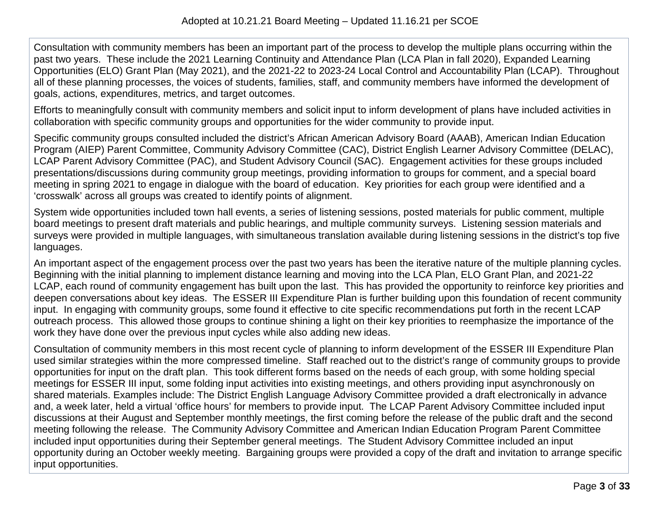Consultation with community members has been an important part of the process to develop the multiple plans occurring within the past two years. These include the 2021 Learning Continuity and Attendance Plan (LCA Plan in fall 2020), Expanded Learning Opportunities (ELO) Grant Plan (May 2021), and the 2021-22 to 2023-24 Local Control and Accountability Plan (LCAP). Throughout all of these planning processes, the voices of students, families, staff, and community members have informed the development of goals, actions, expenditures, metrics, and target outcomes.

Efforts to meaningfully consult with community members and solicit input to inform development of plans have included activities in collaboration with specific community groups and opportunities for the wider community to provide input.

Specific community groups consulted included the district's African American Advisory Board (AAAB), American Indian Education Program (AIEP) Parent Committee, Community Advisory Committee (CAC), District English Learner Advisory Committee (DELAC), LCAP Parent Advisory Committee (PAC), and Student Advisory Council (SAC). Engagement activities for these groups included presentations/discussions during community group meetings, providing information to groups for comment, and a special board meeting in spring 2021 to engage in dialogue with the board of education. Key priorities for each group were identified and a 'crosswalk' across all groups was created to identify points of alignment.

System wide opportunities included town hall events, a series of listening sessions, posted materials for public comment, multiple board meetings to present draft materials and public hearings, and multiple community surveys. Listening session materials and surveys were provided in multiple languages, with simultaneous translation available during listening sessions in the district's top five languages.

An important aspect of the engagement process over the past two years has been the iterative nature of the multiple planning cycles. Beginning with the initial planning to implement distance learning and moving into the LCA Plan, ELO Grant Plan, and 2021-22 LCAP, each round of community engagement has built upon the last. This has provided the opportunity to reinforce key priorities and deepen conversations about key ideas. The ESSER III Expenditure Plan is further building upon this foundation of recent community input. In engaging with community groups, some found it effective to cite specific recommendations put forth in the recent LCAP outreach process. This allowed those groups to continue shining a light on their key priorities to reemphasize the importance of the work they have done over the previous input cycles while also adding new ideas.

Consultation of community members in this most recent cycle of planning to inform development of the ESSER III Expenditure Plan used similar strategies within the more compressed timeline. Staff reached out to the district's range of community groups to provide opportunities for input on the draft plan. This took different forms based on the needs of each group, with some holding special meetings for ESSER III input, some folding input activities into existing meetings, and others providing input asynchronously on shared materials. Examples include: The District English Language Advisory Committee provided a draft electronically in advance and, a week later, held a virtual 'office hours' for members to provide input. The LCAP Parent Advisory Committee included input discussions at their August and September monthly meetings, the first coming before the release of the public draft and the second meeting following the release. The Community Advisory Committee and American Indian Education Program Parent Committee included input opportunities during their September general meetings. The Student Advisory Committee included an input opportunity during an October weekly meeting. Bargaining groups were provided a copy of the draft and invitation to arrange specific input opportunities.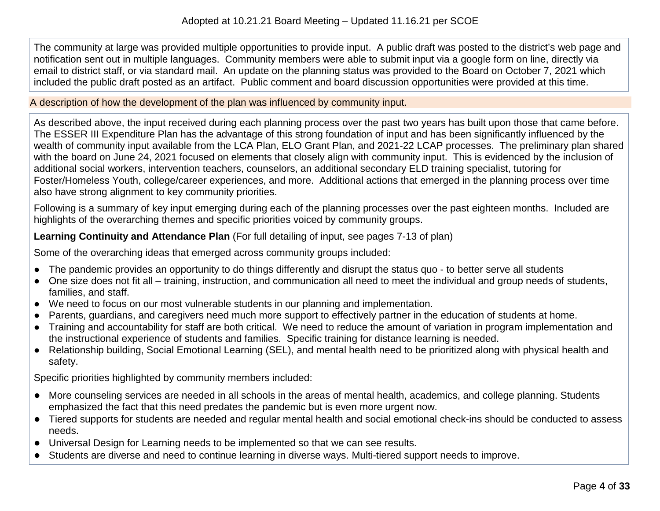The community at large was provided multiple opportunities to provide input. A public draft was posted to the district's web page and notification sent out in multiple languages. Community members were able to submit input via a google form on line, directly via email to district staff, or via standard mail. An update on the planning status was provided to the Board on October 7, 2021 which included the public draft posted as an artifact. Public comment and board discussion opportunities were provided at this time.

A description of how the development of the plan was influenced by community input.

As described above, the input received during each planning process over the past two years has built upon those that came before. The ESSER III Expenditure Plan has the advantage of this strong foundation of input and has been significantly influenced by the wealth of community input available from the LCA Plan, ELO Grant Plan, and 2021-22 LCAP processes. The preliminary plan shared with the board on June 24, 2021 focused on elements that closely align with community input. This is evidenced by the inclusion of additional social workers, intervention teachers, counselors, an additional secondary ELD training specialist, tutoring for Foster/Homeless Youth, college/career experiences, and more. Additional actions that emerged in the planning process over time also have strong alignment to key community priorities.

Following is a summary of key input emerging during each of the planning processes over the past eighteen months. Included are highlights of the overarching themes and specific priorities voiced by community groups.

**Learning Continuity and Attendance Plan** (For full detailing of input, see pages 7-13 of plan)

Some of the overarching ideas that emerged across community groups included:

- The pandemic provides an opportunity to do things differently and disrupt the status quo to better serve all students
- One size does not fit all training, instruction, and communication all need to meet the individual and group needs of students, families, and staff.
- We need to focus on our most vulnerable students in our planning and implementation.
- Parents, guardians, and caregivers need much more support to effectively partner in the education of students at home.
- Training and accountability for staff are both critical. We need to reduce the amount of variation in program implementation and the instructional experience of students and families. Specific training for distance learning is needed.
- Relationship building, Social Emotional Learning (SEL), and mental health need to be prioritized along with physical health and safety.

Specific priorities highlighted by community members included:

- More counseling services are needed in all schools in the areas of mental health, academics, and college planning. Students emphasized the fact that this need predates the pandemic but is even more urgent now.
- Tiered supports for students are needed and regular mental health and social emotional check-ins should be conducted to assess needs.
- Universal Design for Learning needs to be implemented so that we can see results.
- Students are diverse and need to continue learning in diverse ways. Multi-tiered support needs to improve.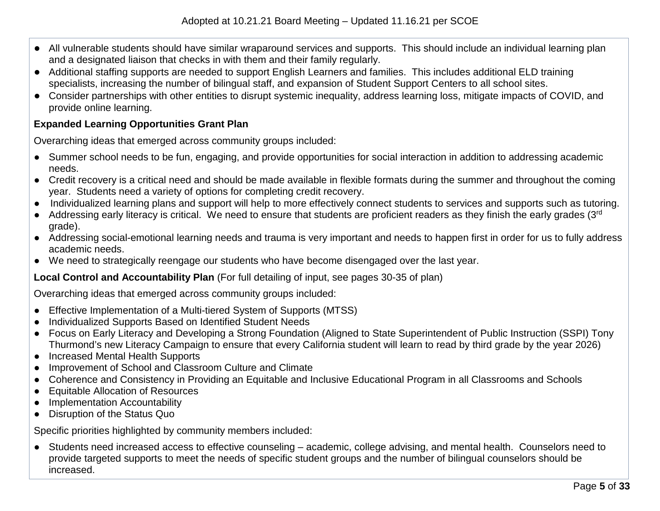- All vulnerable students should have similar wraparound services and supports. This should include an individual learning plan and a designated liaison that checks in with them and their family regularly.
- Additional staffing supports are needed to support English Learners and families. This includes additional ELD training specialists, increasing the number of bilingual staff, and expansion of Student Support Centers to all school sites.
- Consider partnerships with other entities to disrupt systemic inequality, address learning loss, mitigate impacts of COVID, and provide online learning.

### **Expanded Learning Opportunities Grant Plan**

Overarching ideas that emerged across community groups included:

- Summer school needs to be fun, engaging, and provide opportunities for social interaction in addition to addressing academic needs.
- Credit recovery is a critical need and should be made available in flexible formats during the summer and throughout the coming year. Students need a variety of options for completing credit recovery.
- Individualized learning plans and support will help to more effectively connect students to services and supports such as tutoring.
- Addressing early literacy is critical. We need to ensure that students are proficient readers as they finish the early grades (3rd) grade).
- Addressing social-emotional learning needs and trauma is very important and needs to happen first in order for us to fully address academic needs.
- We need to strategically reengage our students who have become disengaged over the last year.

### **Local Control and Accountability Plan** (For full detailing of input, see pages 30-35 of plan)

Overarching ideas that emerged across community groups included:

- Effective Implementation of a Multi-tiered System of Supports (MTSS)
- Individualized Supports Based on Identified Student Needs
- Focus on Early Literacy and Developing a Strong Foundation (Aligned to State Superintendent of Public Instruction (SSPI) Tony Thurmond's new Literacy Campaign to ensure that every California student will learn to read by third grade by the year 2026)
- Increased Mental Health Supports
- Improvement of School and Classroom Culture and Climate
- Coherence and Consistency in Providing an Equitable and Inclusive Educational Program in all Classrooms and Schools
- Equitable Allocation of Resources
- Implementation Accountability
- Disruption of the Status Quo

Specific priorities highlighted by community members included:

● Students need increased access to effective counseling – academic, college advising, and mental health. Counselors need to provide targeted supports to meet the needs of specific student groups and the number of bilingual counselors should be increased.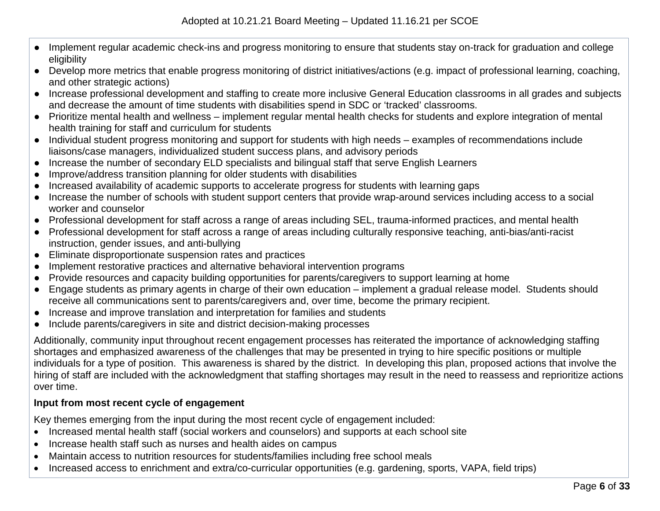- Implement regular academic check-ins and progress monitoring to ensure that students stay on-track for graduation and college eligibility
- Develop more metrics that enable progress monitoring of district initiatives/actions (e.g. impact of professional learning, coaching, and other strategic actions)
- Increase professional development and staffing to create more inclusive General Education classrooms in all grades and subjects and decrease the amount of time students with disabilities spend in SDC or 'tracked' classrooms.
- Prioritize mental health and wellness implement regular mental health checks for students and explore integration of mental health training for staff and curriculum for students
- Individual student progress monitoring and support for students with high needs examples of recommendations include liaisons/case managers, individualized student success plans, and advisory periods
- Increase the number of secondary ELD specialists and bilingual staff that serve English Learners
- Improve/address transition planning for older students with disabilities
- Increased availability of academic supports to accelerate progress for students with learning gaps
- Increase the number of schools with student support centers that provide wrap-around services including access to a social worker and counselor
- Professional development for staff across a range of areas including SEL, trauma-informed practices, and mental health
- Professional development for staff across a range of areas including culturally responsive teaching, anti-bias/anti-racist instruction, gender issues, and anti-bullying
- Eliminate disproportionate suspension rates and practices
- Implement restorative practices and alternative behavioral intervention programs
- Provide resources and capacity building opportunities for parents/caregivers to support learning at home
- Engage students as primary agents in charge of their own education implement a gradual release model. Students should receive all communications sent to parents/caregivers and, over time, become the primary recipient.
- Increase and improve translation and interpretation for families and students
- Include parents/caregivers in site and district decision-making processes

Additionally, community input throughout recent engagement processes has reiterated the importance of acknowledging staffing shortages and emphasized awareness of the challenges that may be presented in trying to hire specific positions or multiple individuals for a type of position. This awareness is shared by the district. In developing this plan, proposed actions that involve the hiring of staff are included with the acknowledgment that staffing shortages may result in the need to reassess and reprioritize actions over time.

### **Input from most recent cycle of engagement**

Key themes emerging from the input during the most recent cycle of engagement included:

- Increased mental health staff (social workers and counselors) and supports at each school site
- Increase health staff such as nurses and health aides on campus
- Maintain access to nutrition resources for students/families including free school meals
- Increased access to enrichment and extra/co-curricular opportunities (e.g. gardening, sports, VAPA, field trips)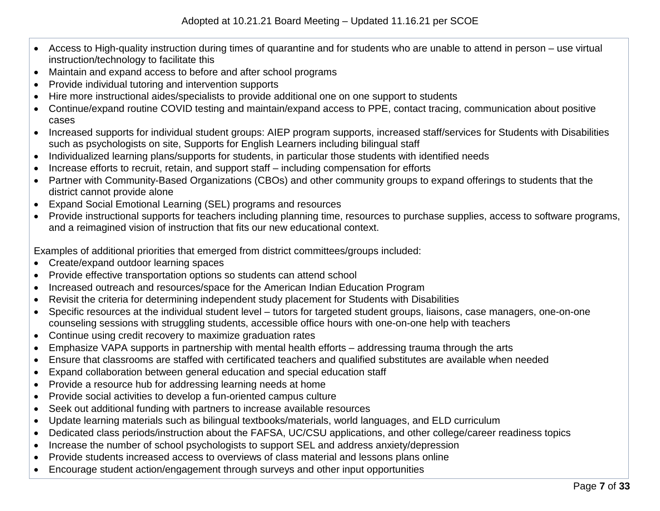- Access to High-quality instruction during times of quarantine and for students who are unable to attend in person use virtual instruction/technology to facilitate this
- Maintain and expand access to before and after school programs
- Provide individual tutoring and intervention supports
- Hire more instructional aides/specialists to provide additional one on one support to students
- Continue/expand routine COVID testing and maintain/expand access to PPE, contact tracing, communication about positive cases
- Increased supports for individual student groups: AIEP program supports, increased staff/services for Students with Disabilities such as psychologists on site, Supports for English Learners including bilingual staff
- Individualized learning plans/supports for students, in particular those students with identified needs
- Increase efforts to recruit, retain, and support staff including compensation for efforts
- Partner with Community-Based Organizations (CBOs) and other community groups to expand offerings to students that the district cannot provide alone
- Expand Social Emotional Learning (SEL) programs and resources
- Provide instructional supports for teachers including planning time, resources to purchase supplies, access to software programs, and a reimagined vision of instruction that fits our new educational context.

Examples of additional priorities that emerged from district committees/groups included:

- Create/expand outdoor learning spaces
- Provide effective transportation options so students can attend school
- Increased outreach and resources/space for the American Indian Education Program
- Revisit the criteria for determining independent study placement for Students with Disabilities
- Specific resources at the individual student level tutors for targeted student groups, liaisons, case managers, one-on-one counseling sessions with struggling students, accessible office hours with one-on-one help with teachers
- Continue using credit recovery to maximize graduation rates
- Emphasize VAPA supports in partnership with mental health efforts addressing trauma through the arts
- Ensure that classrooms are staffed with certificated teachers and qualified substitutes are available when needed
- Expand collaboration between general education and special education staff
- Provide a resource hub for addressing learning needs at home
- Provide social activities to develop a fun-oriented campus culture
- Seek out additional funding with partners to increase available resources
- Update learning materials such as bilingual textbooks/materials, world languages, and ELD curriculum
- Dedicated class periods/instruction about the FAFSA, UC/CSU applications, and other college/career readiness topics
- Increase the number of school psychologists to support SEL and address anxiety/depression
- Provide students increased access to overviews of class material and lessons plans online
- Encourage student action/engagement through surveys and other input opportunities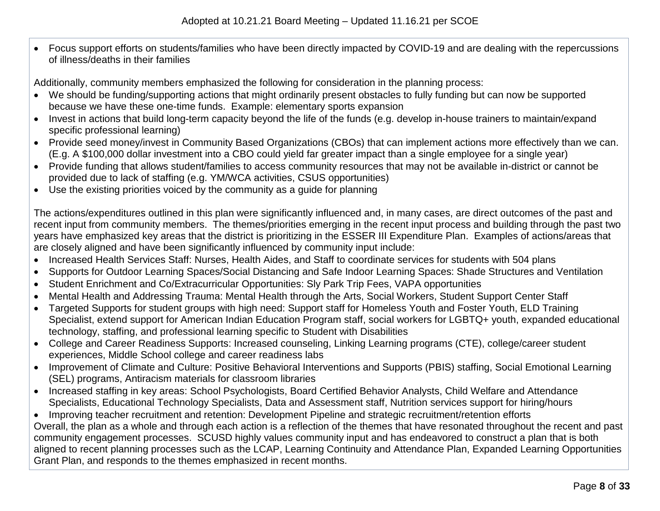• Focus support efforts on students/families who have been directly impacted by COVID-19 and are dealing with the repercussions of illness/deaths in their families

Additionally, community members emphasized the following for consideration in the planning process:

- We should be funding/supporting actions that might ordinarily present obstacles to fully funding but can now be supported because we have these one-time funds. Example: elementary sports expansion
- Invest in actions that build long-term capacity beyond the life of the funds (e.g. develop in-house trainers to maintain/expand specific professional learning)
- Provide seed money/invest in Community Based Organizations (CBOs) that can implement actions more effectively than we can. (E.g. A \$100,000 dollar investment into a CBO could yield far greater impact than a single employee for a single year)
- Provide funding that allows student/families to access community resources that may not be available in-district or cannot be provided due to lack of staffing (e.g. YM/WCA activities, CSUS opportunities)
- Use the existing priorities voiced by the community as a guide for planning

The actions/expenditures outlined in this plan were significantly influenced and, in many cases, are direct outcomes of the past and recent input from community members. The themes/priorities emerging in the recent input process and building through the past two years have emphasized key areas that the district is prioritizing in the ESSER III Expenditure Plan. Examples of actions/areas that are closely aligned and have been significantly influenced by community input include:

- Increased Health Services Staff: Nurses, Health Aides, and Staff to coordinate services for students with 504 plans
- Supports for Outdoor Learning Spaces/Social Distancing and Safe Indoor Learning Spaces: Shade Structures and Ventilation
- Student Enrichment and Co/Extracurricular Opportunities: Sly Park Trip Fees, VAPA opportunities
- Mental Health and Addressing Trauma: Mental Health through the Arts, Social Workers, Student Support Center Staff
- Targeted Supports for student groups with high need: Support staff for Homeless Youth and Foster Youth, ELD Training Specialist, extend support for American Indian Education Program staff, social workers for LGBTQ+ youth, expanded educational technology, staffing, and professional learning specific to Student with Disabilities
- College and Career Readiness Supports: Increased counseling, Linking Learning programs (CTE), college/career student experiences, Middle School college and career readiness labs
- Improvement of Climate and Culture: Positive Behavioral Interventions and Supports (PBIS) staffing, Social Emotional Learning (SEL) programs, Antiracism materials for classroom libraries
- Increased staffing in key areas: School Psychologists, Board Certified Behavior Analysts, Child Welfare and Attendance Specialists, Educational Technology Specialists, Data and Assessment staff, Nutrition services support for hiring/hours
- Improving teacher recruitment and retention: Development Pipeline and strategic recruitment/retention efforts

Overall, the plan as a whole and through each action is a reflection of the themes that have resonated throughout the recent and past community engagement processes. SCUSD highly values community input and has endeavored to construct a plan that is both aligned to recent planning processes such as the LCAP, Learning Continuity and Attendance Plan, Expanded Learning Opportunities Grant Plan, and responds to the themes emphasized in recent months.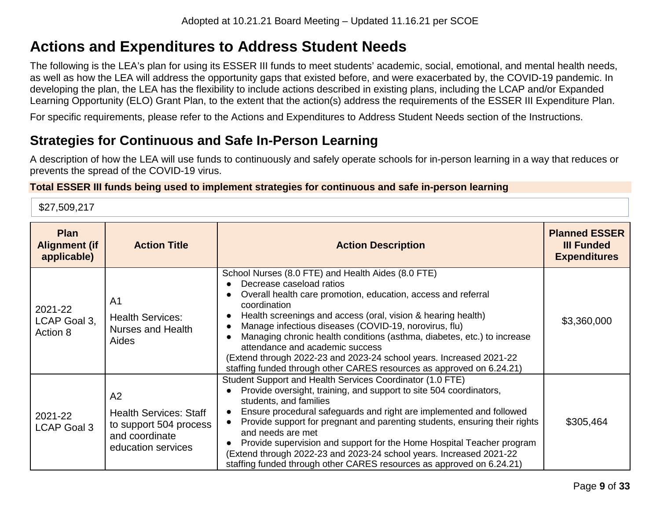# **Actions and Expenditures to Address Student Needs**

The following is the LEA's plan for using its ESSER III funds to meet students' academic, social, emotional, and mental health needs, as well as how the LEA will address the opportunity gaps that existed before, and were exacerbated by, the COVID-19 pandemic. In developing the plan, the LEA has the flexibility to include actions described in existing plans, including the LCAP and/or Expanded Learning Opportunity (ELO) Grant Plan, to the extent that the action(s) address the requirements of the ESSER III Expenditure Plan.

For specific requirements, please refer to the Actions and Expenditures to Address Student Needs section of the Instructions.

# **Strategies for Continuous and Safe In-Person Learning**

A description of how the LEA will use funds to continuously and safely operate schools for in-person learning in a way that reduces or prevents the spread of the COVID-19 virus.

### **Total ESSER III funds being used to implement strategies for continuous and safe in-person learning**

\$27,509,217

| <b>Plan</b><br><b>Alignment (if</b><br>applicable) | <b>Action Title</b>                                                                                   | <b>Action Description</b>                                                                                                                                                                                                                                                                                                                                                                                                                                                                                                                                    | <b>Planned ESSER</b><br><b>III Funded</b><br><b>Expenditures</b> |
|----------------------------------------------------|-------------------------------------------------------------------------------------------------------|--------------------------------------------------------------------------------------------------------------------------------------------------------------------------------------------------------------------------------------------------------------------------------------------------------------------------------------------------------------------------------------------------------------------------------------------------------------------------------------------------------------------------------------------------------------|------------------------------------------------------------------|
| 2021-22<br>LCAP Goal 3,<br>Action 8                | A <sub>1</sub><br><b>Health Services:</b><br>Nurses and Health<br>Aides                               | School Nurses (8.0 FTE) and Health Aides (8.0 FTE)<br>Decrease caseload ratios<br>Overall health care promotion, education, access and referral<br>coordination<br>Health screenings and access (oral, vision & hearing health)<br>Manage infectious diseases (COVID-19, norovirus, flu)<br>Managing chronic health conditions (asthma, diabetes, etc.) to increase<br>attendance and academic success<br>(Extend through 2022-23 and 2023-24 school years. Increased 2021-22<br>staffing funded through other CARES resources as approved on 6.24.21)       | \$3,360,000                                                      |
| 2021-22<br><b>LCAP Goal 3</b>                      | A2<br><b>Health Services: Staff</b><br>to support 504 process<br>and coordinate<br>education services | Student Support and Health Services Coordinator (1.0 FTE)<br>Provide oversight, training, and support to site 504 coordinators,<br>students, and families<br>Ensure procedural safeguards and right are implemented and followed<br>Provide support for pregnant and parenting students, ensuring their rights<br>and needs are met<br>Provide supervision and support for the Home Hospital Teacher program<br>(Extend through 2022-23 and 2023-24 school years. Increased 2021-22<br>staffing funded through other CARES resources as approved on 6.24.21) | \$305,464                                                        |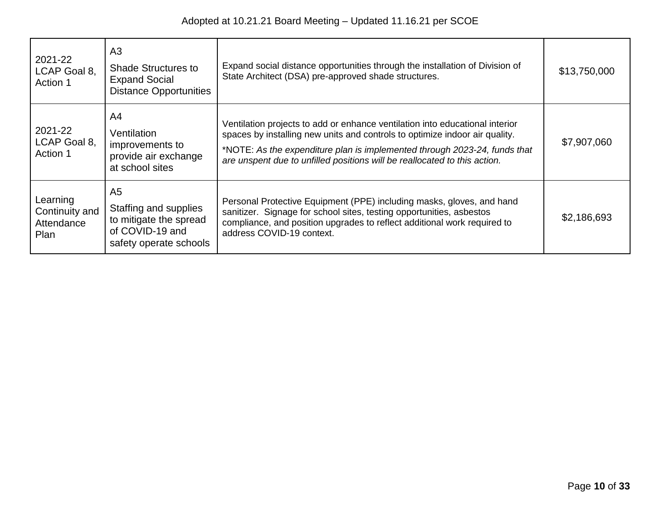| 2021-22<br>LCAP Goal 8,<br>Action 1              | A3<br><b>Shade Structures to</b><br><b>Expand Social</b><br><b>Distance Opportunities</b>                      | Expand social distance opportunities through the installation of Division of<br>State Architect (DSA) pre-approved shade structures.                                                                                                                                                                                  | \$13,750,000 |
|--------------------------------------------------|----------------------------------------------------------------------------------------------------------------|-----------------------------------------------------------------------------------------------------------------------------------------------------------------------------------------------------------------------------------------------------------------------------------------------------------------------|--------------|
| 2021-22<br>LCAP Goal 8,<br>Action 1              | A4<br>Ventilation<br>improvements to<br>provide air exchange<br>at school sites                                | Ventilation projects to add or enhance ventilation into educational interior<br>spaces by installing new units and controls to optimize indoor air quality.<br>*NOTE: As the expenditure plan is implemented through 2023-24, funds that<br>are unspent due to unfilled positions will be reallocated to this action. | \$7,907,060  |
| Learning<br>Continuity and<br>Attendance<br>Plan | A <sub>5</sub><br>Staffing and supplies<br>to mitigate the spread<br>of COVID-19 and<br>safety operate schools | Personal Protective Equipment (PPE) including masks, gloves, and hand<br>sanitizer. Signage for school sites, testing opportunities, asbestos<br>compliance, and position upgrades to reflect additional work required to<br>address COVID-19 context.                                                                | \$2,186,693  |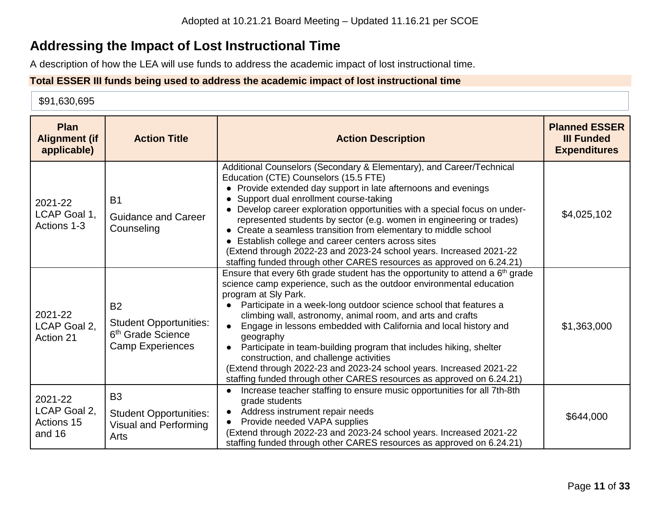# **Addressing the Impact of Lost Instructional Time**

A description of how the LEA will use funds to address the academic impact of lost instructional time.

### **Total ESSER III funds being used to address the academic impact of lost instructional time**

#### \$91,630,695

| <b>Plan</b><br><b>Alignment (if</b><br>applicable) | <b>Action Title</b>                                                                                    | <b>Action Description</b>                                                                                                                                                                                                                                                                                                                                                                                                                                                                                                                                                                                                                                                     | <b>Planned ESSER</b><br><b>III Funded</b><br><b>Expenditures</b> |
|----------------------------------------------------|--------------------------------------------------------------------------------------------------------|-------------------------------------------------------------------------------------------------------------------------------------------------------------------------------------------------------------------------------------------------------------------------------------------------------------------------------------------------------------------------------------------------------------------------------------------------------------------------------------------------------------------------------------------------------------------------------------------------------------------------------------------------------------------------------|------------------------------------------------------------------|
| 2021-22<br>LCAP Goal 1.<br>Actions 1-3             | <b>B1</b><br><b>Guidance and Career</b><br>Counseling                                                  | Additional Counselors (Secondary & Elementary), and Career/Technical<br>Education (CTE) Counselors (15.5 FTE)<br>• Provide extended day support in late afternoons and evenings<br>Support dual enrollment course-taking<br>Develop career exploration opportunities with a special focus on under-<br>represented students by sector (e.g. women in engineering or trades)<br>• Create a seamless transition from elementary to middle school<br>Establish college and career centers across sites<br>(Extend through 2022-23 and 2023-24 school years. Increased 2021-22<br>staffing funded through other CARES resources as approved on 6.24.21)                           | \$4,025,102                                                      |
| 2021-22<br>LCAP Goal 2,<br>Action 21               | <b>B2</b><br><b>Student Opportunities:</b><br>6 <sup>th</sup> Grade Science<br><b>Camp Experiences</b> | Ensure that every 6th grade student has the opportunity to attend a 6 <sup>th</sup> grade<br>science camp experience, such as the outdoor environmental education<br>program at Sly Park.<br>Participate in a week-long outdoor science school that features a<br>climbing wall, astronomy, animal room, and arts and crafts<br>Engage in lessons embedded with California and local history and<br>geography<br>Participate in team-building program that includes hiking, shelter<br>construction, and challenge activities<br>(Extend through 2022-23 and 2023-24 school years. Increased 2021-22<br>staffing funded through other CARES resources as approved on 6.24.21) | \$1,363,000                                                      |
| 2021-22<br>LCAP Goal 2,<br>Actions 15<br>and 16    | B <sub>3</sub><br><b>Student Opportunities:</b><br><b>Visual and Performing</b><br>Arts                | Increase teacher staffing to ensure music opportunities for all 7th-8th<br>grade students<br>Address instrument repair needs<br>Provide needed VAPA supplies<br>(Extend through 2022-23 and 2023-24 school years. Increased 2021-22<br>staffing funded through other CARES resources as approved on 6.24.21)                                                                                                                                                                                                                                                                                                                                                                  | \$644,000                                                        |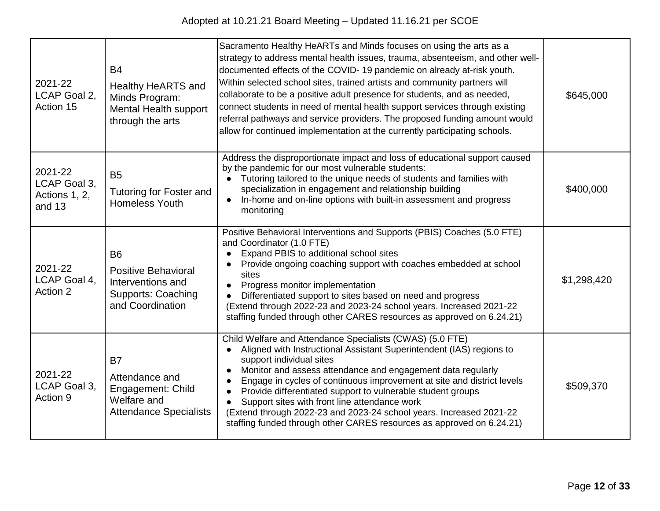| 2021-22<br>LCAP Goal 2,<br>Action 15               | <b>B4</b><br><b>Healthy HeARTS and</b><br>Minds Program:<br><b>Mental Health support</b><br>through the arts  | Sacramento Healthy HeARTs and Minds focuses on using the arts as a<br>strategy to address mental health issues, trauma, absenteeism, and other well-<br>documented effects of the COVID-19 pandemic on already at-risk youth.<br>Within selected school sites, trained artists and community partners will<br>collaborate to be a positive adult presence for students, and as needed,<br>connect students in need of mental health support services through existing<br>referral pathways and service providers. The proposed funding amount would<br>allow for continued implementation at the currently participating schools. | \$645,000   |
|----------------------------------------------------|---------------------------------------------------------------------------------------------------------------|-----------------------------------------------------------------------------------------------------------------------------------------------------------------------------------------------------------------------------------------------------------------------------------------------------------------------------------------------------------------------------------------------------------------------------------------------------------------------------------------------------------------------------------------------------------------------------------------------------------------------------------|-------------|
| 2021-22<br>LCAP Goal 3,<br>Actions 1, 2,<br>and 13 | B <sub>5</sub><br><b>Tutoring for Foster and</b><br><b>Homeless Youth</b>                                     | Address the disproportionate impact and loss of educational support caused<br>by the pandemic for our most vulnerable students:<br>Tutoring tailored to the unique needs of students and families with<br>specialization in engagement and relationship building<br>In-home and on-line options with built-in assessment and progress<br>$\bullet$<br>monitoring                                                                                                                                                                                                                                                                  | \$400,000   |
| 2021-22<br>LCAP Goal 4,<br>Action 2                | <b>B6</b><br><b>Positive Behavioral</b><br>Interventions and<br><b>Supports: Coaching</b><br>and Coordination | Positive Behavioral Interventions and Supports (PBIS) Coaches (5.0 FTE)<br>and Coordinator (1.0 FTE)<br>Expand PBIS to additional school sites<br>Provide ongoing coaching support with coaches embedded at school<br>sites<br>Progress monitor implementation<br>Differentiated support to sites based on need and progress<br>(Extend through 2022-23 and 2023-24 school years. Increased 2021-22<br>staffing funded through other CARES resources as approved on 6.24.21)                                                                                                                                                      | \$1,298,420 |
| 2021-22<br>LCAP Goal 3.<br>Action 9                | <b>B7</b><br>Attendance and<br>Engagement: Child<br>Welfare and<br><b>Attendance Specialists</b>              | Child Welfare and Attendance Specialists (CWAS) (5.0 FTE)<br>Aligned with Instructional Assistant Superintendent (IAS) regions to<br>support individual sites<br>Monitor and assess attendance and engagement data regularly<br>Engage in cycles of continuous improvement at site and district levels<br>Provide differentiated support to vulnerable student groups<br>$\bullet$<br>Support sites with front line attendance work<br>(Extend through 2022-23 and 2023-24 school years. Increased 2021-22<br>staffing funded through other CARES resources as approved on 6.24.21)                                               | \$509,370   |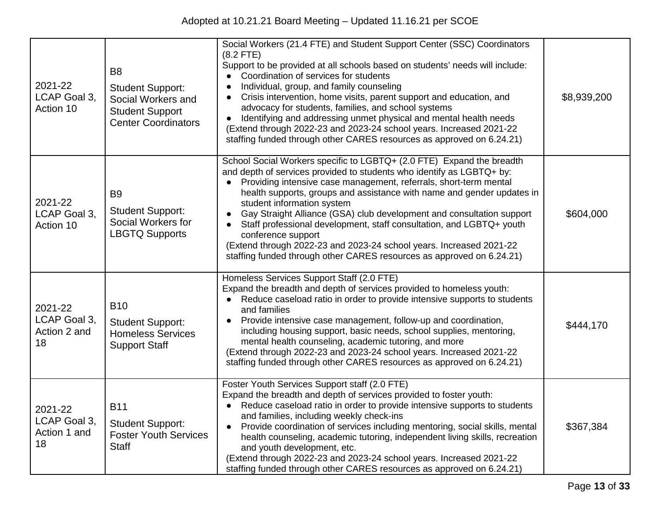| 2021-22<br>LCAP Goal 3,<br>Action 10          | B <sub>8</sub><br><b>Student Support:</b><br>Social Workers and<br><b>Student Support</b><br><b>Center Coordinators</b> | Social Workers (21.4 FTE) and Student Support Center (SSC) Coordinators<br>$(8.2$ FTE)<br>Support to be provided at all schools based on students' needs will include:<br>Coordination of services for students<br>Individual, group, and family counseling<br>Crisis intervention, home visits, parent support and education, and<br>advocacy for students, families, and school systems<br>Identifying and addressing unmet physical and mental health needs<br>(Extend through 2022-23 and 2023-24 school years. Increased 2021-22<br>staffing funded through other CARES resources as approved on 6.24.21)                                     | \$8,939,200 |
|-----------------------------------------------|-------------------------------------------------------------------------------------------------------------------------|----------------------------------------------------------------------------------------------------------------------------------------------------------------------------------------------------------------------------------------------------------------------------------------------------------------------------------------------------------------------------------------------------------------------------------------------------------------------------------------------------------------------------------------------------------------------------------------------------------------------------------------------------|-------------|
| 2021-22<br>LCAP Goal 3,<br>Action 10          | B <sub>9</sub><br><b>Student Support:</b><br>Social Workers for<br><b>LBGTQ Supports</b>                                | School Social Workers specific to LGBTQ+ (2.0 FTE) Expand the breadth<br>and depth of services provided to students who identify as LGBTQ+ by:<br>Providing intensive case management, referrals, short-term mental<br>health supports, groups and assistance with name and gender updates in<br>student information system<br>Gay Straight Alliance (GSA) club development and consultation support<br>Staff professional development, staff consultation, and LGBTQ+ youth<br>conference support<br>(Extend through 2022-23 and 2023-24 school years. Increased 2021-22<br>staffing funded through other CARES resources as approved on 6.24.21) | \$604,000   |
| 2021-22<br>LCAP Goal 3,<br>Action 2 and<br>18 | <b>B10</b><br><b>Student Support:</b><br><b>Homeless Services</b><br><b>Support Staff</b>                               | Homeless Services Support Staff (2.0 FTE)<br>Expand the breadth and depth of services provided to homeless youth:<br>Reduce caseload ratio in order to provide intensive supports to students<br>and families<br>Provide intensive case management, follow-up and coordination,<br>including housing support, basic needs, school supplies, mentoring,<br>mental health counseling, academic tutoring, and more<br>(Extend through 2022-23 and 2023-24 school years. Increased 2021-22<br>staffing funded through other CARES resources as approved on 6.24.21)                                                                                    | \$444,170   |
| 2021-22<br>LCAP Goal 3,<br>Action 1 and<br>18 | <b>B11</b><br><b>Student Support:</b><br><b>Foster Youth Services</b><br><b>Staff</b>                                   | Foster Youth Services Support staff (2.0 FTE)<br>Expand the breadth and depth of services provided to foster youth:<br>Reduce caseload ratio in order to provide intensive supports to students<br>and families, including weekly check-ins<br>Provide coordination of services including mentoring, social skills, mental<br>health counseling, academic tutoring, independent living skills, recreation<br>and youth development, etc.<br>(Extend through 2022-23 and 2023-24 school years. Increased 2021-22<br>staffing funded through other CARES resources as approved on 6.24.21)                                                           | \$367,384   |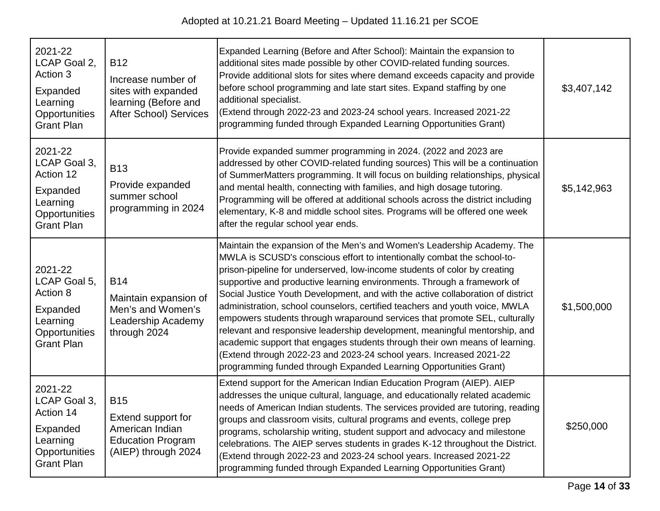| 2021-22<br>LCAP Goal 2,<br>Action 3<br>Expanded<br>Learning<br>Opportunities<br><b>Grant Plan</b>  | <b>B12</b><br>Increase number of<br>sites with expanded<br>learning (Before and<br>After School) Services | Expanded Learning (Before and After School): Maintain the expansion to<br>additional sites made possible by other COVID-related funding sources.<br>Provide additional slots for sites where demand exceeds capacity and provide<br>before school programming and late start sites. Expand staffing by one<br>additional specialist.<br>(Extend through 2022-23 and 2023-24 school years. Increased 2021-22<br>programming funded through Expanded Learning Opportunities Grant)                                                                                                                                                                                                                                                                                                                                                                                    | \$3,407,142 |
|----------------------------------------------------------------------------------------------------|-----------------------------------------------------------------------------------------------------------|---------------------------------------------------------------------------------------------------------------------------------------------------------------------------------------------------------------------------------------------------------------------------------------------------------------------------------------------------------------------------------------------------------------------------------------------------------------------------------------------------------------------------------------------------------------------------------------------------------------------------------------------------------------------------------------------------------------------------------------------------------------------------------------------------------------------------------------------------------------------|-------------|
| 2021-22<br>LCAP Goal 3,<br>Action 12<br>Expanded<br>Learning<br>Opportunities<br><b>Grant Plan</b> | <b>B13</b><br>Provide expanded<br>summer school<br>programming in 2024                                    | Provide expanded summer programming in 2024. (2022 and 2023 are<br>addressed by other COVID-related funding sources) This will be a continuation<br>of SummerMatters programming. It will focus on building relationships, physical<br>and mental health, connecting with families, and high dosage tutoring.<br>Programming will be offered at additional schools across the district including<br>elementary, K-8 and middle school sites. Programs will be offered one week<br>after the regular school year ends.                                                                                                                                                                                                                                                                                                                                               | \$5,142,963 |
| 2021-22<br>LCAP Goal 5,<br>Action 8<br>Expanded<br>Learning<br>Opportunities<br><b>Grant Plan</b>  | <b>B14</b><br>Maintain expansion of<br>Men's and Women's<br>Leadership Academy<br>through 2024            | Maintain the expansion of the Men's and Women's Leadership Academy. The<br>MWLA is SCUSD's conscious effort to intentionally combat the school-to-<br>prison-pipeline for underserved, low-income students of color by creating<br>supportive and productive learning environments. Through a framework of<br>Social Justice Youth Development, and with the active collaboration of district<br>administration, school counselors, certified teachers and youth voice, MWLA<br>empowers students through wraparound services that promote SEL, culturally<br>relevant and responsive leadership development, meaningful mentorship, and<br>academic support that engages students through their own means of learning.<br>(Extend through 2022-23 and 2023-24 school years. Increased 2021-22<br>programming funded through Expanded Learning Opportunities Grant) | \$1,500,000 |
| 2021-22<br>LCAP Goal 3,<br>Action 14<br>Expanded<br>Learning<br>Opportunities<br><b>Grant Plan</b> | <b>B15</b><br>Extend support for<br>American Indian<br><b>Education Program</b><br>(AIEP) through 2024    | Extend support for the American Indian Education Program (AIEP). AIEP<br>addresses the unique cultural, language, and educationally related academic<br>needs of American Indian students. The services provided are tutoring, reading<br>groups and classroom visits, cultural programs and events, college prep<br>programs, scholarship writing, student support and advocacy and milestone<br>celebrations. The AIEP serves students in grades K-12 throughout the District.<br>(Extend through 2022-23 and 2023-24 school years. Increased 2021-22<br>programming funded through Expanded Learning Opportunities Grant)                                                                                                                                                                                                                                        | \$250,000   |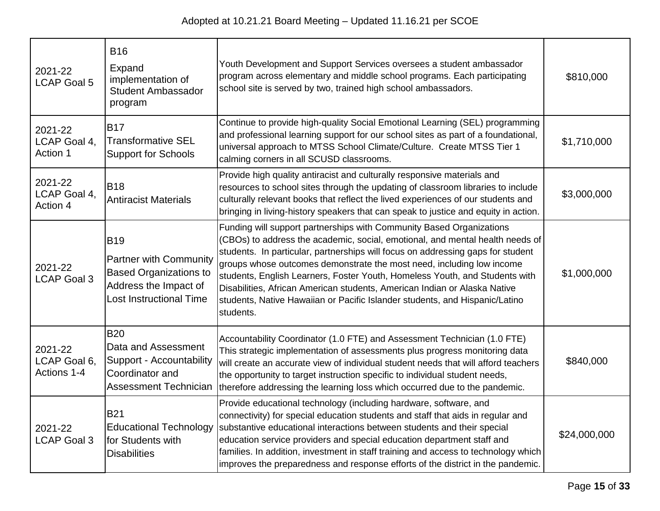| 2021-22<br><b>LCAP Goal 5</b>          | <b>B16</b><br>Expand<br>implementation of<br><b>Student Ambassador</b><br>program                                                       | Youth Development and Support Services oversees a student ambassador<br>program across elementary and middle school programs. Each participating<br>school site is served by two, trained high school ambassadors.                                                                                                                                                                                                                                                                                                                                                        | \$810,000    |
|----------------------------------------|-----------------------------------------------------------------------------------------------------------------------------------------|---------------------------------------------------------------------------------------------------------------------------------------------------------------------------------------------------------------------------------------------------------------------------------------------------------------------------------------------------------------------------------------------------------------------------------------------------------------------------------------------------------------------------------------------------------------------------|--------------|
| 2021-22<br>LCAP Goal 4,<br>Action 1    | <b>B17</b><br><b>Transformative SEL</b><br><b>Support for Schools</b>                                                                   | Continue to provide high-quality Social Emotional Learning (SEL) programming<br>and professional learning support for our school sites as part of a foundational,<br>universal approach to MTSS School Climate/Culture. Create MTSS Tier 1<br>calming corners in all SCUSD classrooms.                                                                                                                                                                                                                                                                                    | \$1,710,000  |
| 2021-22<br>LCAP Goal 4,<br>Action 4    | <b>B18</b><br><b>Antiracist Materials</b>                                                                                               | Provide high quality antiracist and culturally responsive materials and<br>resources to school sites through the updating of classroom libraries to include<br>culturally relevant books that reflect the lived experiences of our students and<br>bringing in living-history speakers that can speak to justice and equity in action.                                                                                                                                                                                                                                    | \$3,000,000  |
| 2021-22<br><b>LCAP Goal 3</b>          | <b>B19</b><br><b>Partner with Community</b><br><b>Based Organizations to</b><br>Address the Impact of<br><b>Lost Instructional Time</b> | Funding will support partnerships with Community Based Organizations<br>(CBOs) to address the academic, social, emotional, and mental health needs of<br>students. In particular, partnerships will focus on addressing gaps for student<br>groups whose outcomes demonstrate the most need, including low income<br>students, English Learners, Foster Youth, Homeless Youth, and Students with<br>Disabilities, African American students, American Indian or Alaska Native<br>students, Native Hawaiian or Pacific Islander students, and Hispanic/Latino<br>students. | \$1,000,000  |
| 2021-22<br>LCAP Goal 6,<br>Actions 1-4 | <b>B20</b><br>Data and Assessment<br>Support - Accountability<br>Coordinator and<br><b>Assessment Technician</b>                        | Accountability Coordinator (1.0 FTE) and Assessment Technician (1.0 FTE)<br>This strategic implementation of assessments plus progress monitoring data<br>will create an accurate view of individual student needs that will afford teachers<br>the opportunity to target instruction specific to individual student needs,<br>therefore addressing the learning loss which occurred due to the pandemic.                                                                                                                                                                 | \$840,000    |
| 2021-22<br><b>LCAP Goal 3</b>          | <b>B21</b><br><b>Educational Technology</b><br>for Students with<br><b>Disabilities</b>                                                 | Provide educational technology (including hardware, software, and<br>connectivity) for special education students and staff that aids in regular and<br>substantive educational interactions between students and their special<br>education service providers and special education department staff and<br>families. In addition, investment in staff training and access to technology which<br>improves the preparedness and response efforts of the district in the pandemic.                                                                                        | \$24,000,000 |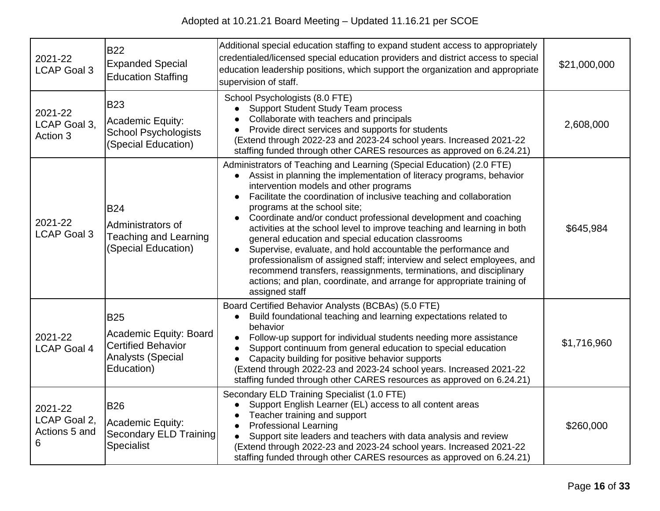| 2021-22<br><b>LCAP Goal 3</b>                 | <b>B22</b><br><b>Expanded Special</b><br><b>Education Staffing</b>                                          | Additional special education staffing to expand student access to appropriately<br>credentialed/licensed special education providers and district access to special<br>education leadership positions, which support the organization and appropriate<br>supervision of staff.                                                                                                                                                                                                                                                                                                                                                                                                                                                                                                                                                            | \$21,000,000 |
|-----------------------------------------------|-------------------------------------------------------------------------------------------------------------|-------------------------------------------------------------------------------------------------------------------------------------------------------------------------------------------------------------------------------------------------------------------------------------------------------------------------------------------------------------------------------------------------------------------------------------------------------------------------------------------------------------------------------------------------------------------------------------------------------------------------------------------------------------------------------------------------------------------------------------------------------------------------------------------------------------------------------------------|--------------|
| 2021-22<br>LCAP Goal 3,<br>Action 3           | <b>B23</b><br>Academic Equity:<br><b>School Psychologists</b><br>(Special Education)                        | School Psychologists (8.0 FTE)<br><b>Support Student Study Team process</b><br>Collaborate with teachers and principals<br>Provide direct services and supports for students<br>(Extend through 2022-23 and 2023-24 school years. Increased 2021-22<br>staffing funded through other CARES resources as approved on 6.24.21)                                                                                                                                                                                                                                                                                                                                                                                                                                                                                                              | 2,608,000    |
| 2021-22<br><b>LCAP Goal 3</b>                 | <b>B24</b><br>Administrators of<br><b>Teaching and Learning</b><br>(Special Education)                      | Administrators of Teaching and Learning (Special Education) (2.0 FTE)<br>Assist in planning the implementation of literacy programs, behavior<br>intervention models and other programs<br>Facilitate the coordination of inclusive teaching and collaboration<br>$\bullet$<br>programs at the school site;<br>Coordinate and/or conduct professional development and coaching<br>$\bullet$<br>activities at the school level to improve teaching and learning in both<br>general education and special education classrooms<br>Supervise, evaluate, and hold accountable the performance and<br>professionalism of assigned staff; interview and select employees, and<br>recommend transfers, reassignments, terminations, and disciplinary<br>actions; and plan, coordinate, and arrange for appropriate training of<br>assigned staff | \$645,984    |
| 2021-22<br><b>LCAP Goal 4</b>                 | <b>B25</b><br>Academic Equity: Board<br><b>Certified Behavior</b><br><b>Analysts (Special</b><br>Education) | Board Certified Behavior Analysts (BCBAs) (5.0 FTE)<br>Build foundational teaching and learning expectations related to<br>behavior<br>Follow-up support for individual students needing more assistance<br>Support continuum from general education to special education<br>Capacity building for positive behavior supports<br>(Extend through 2022-23 and 2023-24 school years. Increased 2021-22<br>staffing funded through other CARES resources as approved on 6.24.21)                                                                                                                                                                                                                                                                                                                                                             | \$1,716,960  |
| 2021-22<br>LCAP Goal 2,<br>Actions 5 and<br>6 | <b>B26</b><br>Academic Equity:<br><b>Secondary ELD Training</b><br>Specialist                               | Secondary ELD Training Specialist (1.0 FTE)<br>Support English Learner (EL) access to all content areas<br>Teacher training and support<br><b>Professional Learning</b><br>$\bullet$<br>Support site leaders and teachers with data analysis and review<br>(Extend through 2022-23 and 2023-24 school years. Increased 2021-22<br>staffing funded through other CARES resources as approved on 6.24.21)                                                                                                                                                                                                                                                                                                                                                                                                                                   | \$260,000    |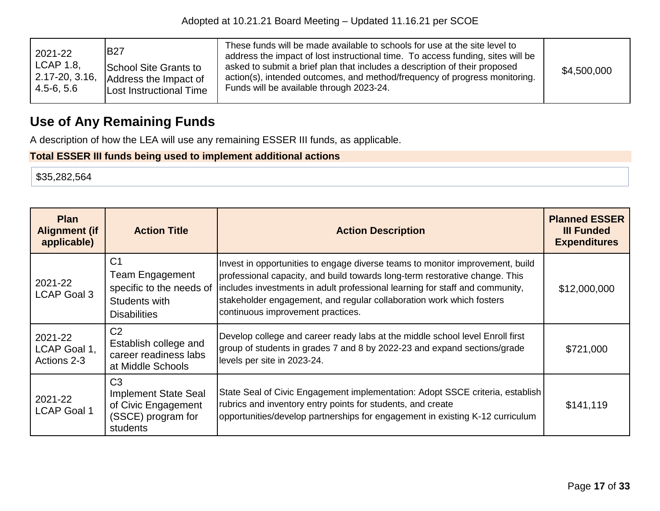| 2021-22<br>LCAP 1.8,<br>$\vert$ 2.17-20, 3.16,<br>$  4.5 - 6, 5.6  $ | <b>B27</b><br>School Site Grants to<br>Address the Impact of<br><b>Lost Instructional Time</b> | These funds will be made available to schools for use at the site level to<br>address the impact of lost instructional time. To access funding, sites will be<br>asked to submit a brief plan that includes a description of their proposed<br>action(s), intended outcomes, and method/frequency of progress monitoring.<br>Funds will be available through 2023-24. | \$4,500,000 |
|----------------------------------------------------------------------|------------------------------------------------------------------------------------------------|-----------------------------------------------------------------------------------------------------------------------------------------------------------------------------------------------------------------------------------------------------------------------------------------------------------------------------------------------------------------------|-------------|
|----------------------------------------------------------------------|------------------------------------------------------------------------------------------------|-----------------------------------------------------------------------------------------------------------------------------------------------------------------------------------------------------------------------------------------------------------------------------------------------------------------------------------------------------------------------|-------------|

# **Use of Any Remaining Funds**

A description of how the LEA will use any remaining ESSER III funds, as applicable.

## **Total ESSER III funds being used to implement additional actions**

\$35,282,564

| <b>Plan</b><br><b>Alignment (if</b><br>applicable) | <b>Action Title</b>                                                                                          | <b>Action Description</b>                                                                                                                                                                                                                                                                                                                                 | <b>Planned ESSER</b><br><b>III Funded</b><br><b>Expenditures</b> |
|----------------------------------------------------|--------------------------------------------------------------------------------------------------------------|-----------------------------------------------------------------------------------------------------------------------------------------------------------------------------------------------------------------------------------------------------------------------------------------------------------------------------------------------------------|------------------------------------------------------------------|
| 2021-22<br><b>LCAP Goal 3</b>                      | C <sub>1</sub><br><b>Team Engagement</b><br>specific to the needs of<br>Students with<br><b>Disabilities</b> | Invest in opportunities to engage diverse teams to monitor improvement, build<br>professional capacity, and build towards long-term restorative change. This<br>includes investments in adult professional learning for staff and community,<br>stakeholder engagement, and regular collaboration work which fosters<br>continuous improvement practices. | \$12,000,000                                                     |
| 2021-22<br>LCAP Goal 1,<br>Actions 2-3             | C <sub>2</sub><br>Establish college and<br>career readiness labs<br>at Middle Schools                        | Develop college and career ready labs at the middle school level Enroll first<br>group of students in grades 7 and 8 by 2022-23 and expand sections/grade<br>levels per site in 2023-24.                                                                                                                                                                  | \$721,000                                                        |
| 2021-22<br><b>LCAP Goal 1</b>                      | C <sub>3</sub><br><b>Implement State Seal</b><br>of Civic Engagement<br>(SSCE) program for<br>students       | State Seal of Civic Engagement implementation: Adopt SSCE criteria, establish<br>rubrics and inventory entry points for students, and create<br>opportunities/develop partnerships for engagement in existing K-12 curriculum                                                                                                                             | \$141,119                                                        |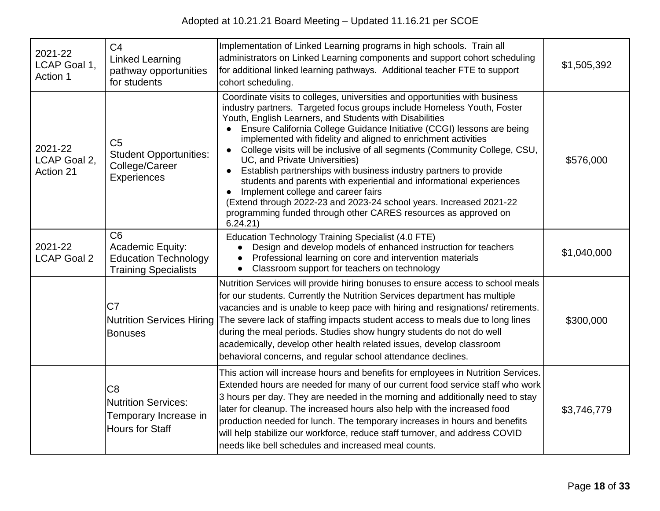| 2021-22<br>LCAP Goal 1,<br>Action 1  | C <sub>4</sub><br><b>Linked Learning</b><br>pathway opportunities<br>for students                       | Implementation of Linked Learning programs in high schools. Train all<br>administrators on Linked Learning components and support cohort scheduling<br>for additional linked learning pathways. Additional teacher FTE to support<br>cohort scheduling.                                                                                                                                                                                                                                                                                                                                                                                                                                                                                                                                                              | \$1,505,392 |
|--------------------------------------|---------------------------------------------------------------------------------------------------------|----------------------------------------------------------------------------------------------------------------------------------------------------------------------------------------------------------------------------------------------------------------------------------------------------------------------------------------------------------------------------------------------------------------------------------------------------------------------------------------------------------------------------------------------------------------------------------------------------------------------------------------------------------------------------------------------------------------------------------------------------------------------------------------------------------------------|-------------|
| 2021-22<br>LCAP Goal 2,<br>Action 21 | C <sub>5</sub><br><b>Student Opportunities:</b><br>College/Career<br>Experiences                        | Coordinate visits to colleges, universities and opportunities with business<br>industry partners. Targeted focus groups include Homeless Youth, Foster<br>Youth, English Learners, and Students with Disabilities<br>Ensure California College Guidance Initiative (CCGI) lessons are being<br>implemented with fidelity and aligned to enrichment activities<br>College visits will be inclusive of all segments (Community College, CSU,<br>UC, and Private Universities)<br>Establish partnerships with business industry partners to provide<br>students and parents with experiential and informational experiences<br>Implement college and career fairs<br>(Extend through 2022-23 and 2023-24 school years. Increased 2021-22<br>programming funded through other CARES resources as approved on<br>6.24.21) | \$576,000   |
| 2021-22<br><b>LCAP Goal 2</b>        | C <sub>6</sub><br><b>Academic Equity:</b><br><b>Education Technology</b><br><b>Training Specialists</b> | Education Technology Training Specialist (4.0 FTE)<br>Design and develop models of enhanced instruction for teachers<br>Professional learning on core and intervention materials<br>Classroom support for teachers on technology<br>$\bullet$                                                                                                                                                                                                                                                                                                                                                                                                                                                                                                                                                                        | \$1,040,000 |
|                                      | C <sub>7</sub><br><b>Nutrition Services Hiring</b><br><b>Bonuses</b>                                    | Nutrition Services will provide hiring bonuses to ensure access to school meals<br>for our students. Currently the Nutrition Services department has multiple<br>vacancies and is unable to keep pace with hiring and resignations/ retirements.<br>The severe lack of staffing impacts student access to meals due to long lines<br>during the meal periods. Studies show hungry students do not do well<br>academically, develop other health related issues, develop classroom<br>behavioral concerns, and regular school attendance declines.                                                                                                                                                                                                                                                                    | \$300,000   |
|                                      | C <sub>8</sub><br><b>Nutrition Services:</b><br>Temporary Increase in<br><b>Hours for Staff</b>         | This action will increase hours and benefits for employees in Nutrition Services.<br>Extended hours are needed for many of our current food service staff who work<br>3 hours per day. They are needed in the morning and additionally need to stay<br>later for cleanup. The increased hours also help with the increased food<br>production needed for lunch. The temporary increases in hours and benefits<br>will help stabilize our workforce, reduce staff turnover, and address COVID<br>needs like bell schedules and increased meal counts.                                                                                                                                                                                                                                                                 | \$3,746,779 |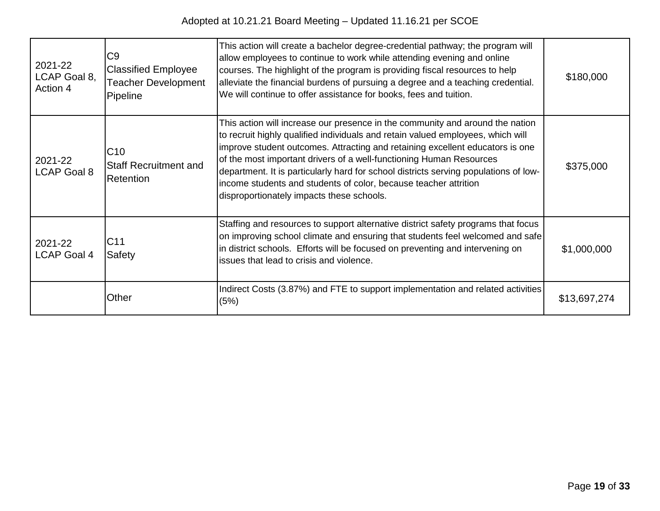| 2021-22<br>LCAP Goal 8,<br>Action 4 | C <sub>9</sub><br><b>Classified Employee</b><br><b>Teacher Development</b><br>Pipeline | This action will create a bachelor degree-credential pathway; the program will<br>allow employees to continue to work while attending evening and online<br>courses. The highlight of the program is providing fiscal resources to help<br>alleviate the financial burdens of pursuing a degree and a teaching credential.<br>We will continue to offer assistance for books, fees and tuition.                                                                                                                                   | \$180,000    |
|-------------------------------------|----------------------------------------------------------------------------------------|-----------------------------------------------------------------------------------------------------------------------------------------------------------------------------------------------------------------------------------------------------------------------------------------------------------------------------------------------------------------------------------------------------------------------------------------------------------------------------------------------------------------------------------|--------------|
| 2021-22<br><b>LCAP Goal 8</b>       | C10<br><b>Staff Recruitment and</b><br>Retention                                       | This action will increase our presence in the community and around the nation<br>to recruit highly qualified individuals and retain valued employees, which will<br>improve student outcomes. Attracting and retaining excellent educators is one<br>of the most important drivers of a well-functioning Human Resources<br>department. It is particularly hard for school districts serving populations of low-<br>income students and students of color, because teacher attrition<br>disproportionately impacts these schools. | \$375,000    |
| 2021-22<br><b>LCAP Goal 4</b>       | C <sub>11</sub><br>Safety                                                              | Staffing and resources to support alternative district safety programs that focus<br>on improving school climate and ensuring that students feel welcomed and safe<br>in district schools. Efforts will be focused on preventing and intervening on<br>issues that lead to crisis and violence.                                                                                                                                                                                                                                   | \$1,000,000  |
|                                     | Other                                                                                  | Indirect Costs (3.87%) and FTE to support implementation and related activities<br>(5%)                                                                                                                                                                                                                                                                                                                                                                                                                                           | \$13,697,274 |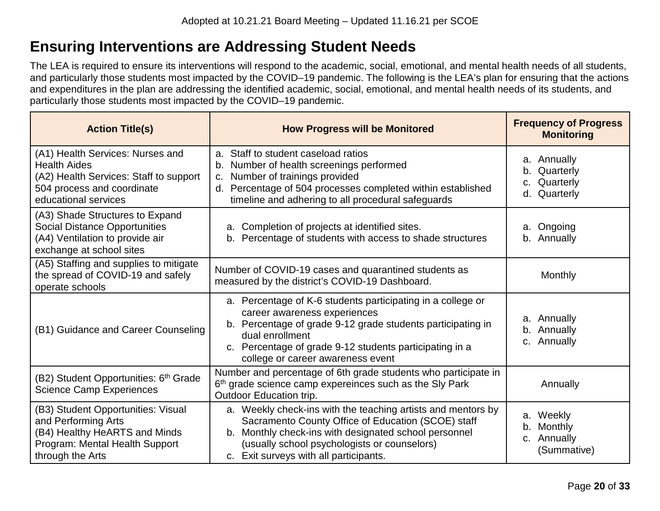# **Ensuring Interventions are Addressing Student Needs**

The LEA is required to ensure its interventions will respond to the academic, social, emotional, and mental health needs of all students, and particularly those students most impacted by the COVID–19 pandemic. The following is the LEA's plan for ensuring that the actions and expenditures in the plan are addressing the identified academic, social, emotional, and mental health needs of its students, and particularly those students most impacted by the COVID–19 pandemic.

| <b>Action Title(s)</b>                                                                                                                                  | <b>How Progress will be Monitored</b>                                                                                                                                                                                                                                         | <b>Frequency of Progress</b><br><b>Monitoring</b>           |
|---------------------------------------------------------------------------------------------------------------------------------------------------------|-------------------------------------------------------------------------------------------------------------------------------------------------------------------------------------------------------------------------------------------------------------------------------|-------------------------------------------------------------|
| (A1) Health Services: Nurses and<br><b>Health Aides</b><br>(A2) Health Services: Staff to support<br>504 process and coordinate<br>educational services | a. Staff to student caseload ratios<br>b. Number of health screenings performed<br>Number of trainings provided<br>$C_{\cdot}$<br>d. Percentage of 504 processes completed within established<br>timeline and adhering to all procedural safeguards                           | a. Annually<br>Quarterly<br>b.<br>Quarterly<br>d. Quarterly |
| (A3) Shade Structures to Expand<br><b>Social Distance Opportunities</b><br>(A4) Ventilation to provide air<br>exchange at school sites                  | Completion of projects at identified sites.<br>a <sub>1</sub><br>b. Percentage of students with access to shade structures                                                                                                                                                    | a. Ongoing<br>b. Annually                                   |
| (A5) Staffing and supplies to mitigate<br>the spread of COVID-19 and safely<br>operate schools                                                          | Number of COVID-19 cases and quarantined students as<br>measured by the district's COVID-19 Dashboard.                                                                                                                                                                        | Monthly                                                     |
| (B1) Guidance and Career Counseling                                                                                                                     | a. Percentage of K-6 students participating in a college or<br>career awareness experiences<br>b. Percentage of grade 9-12 grade students participating in<br>dual enrollment<br>c. Percentage of grade 9-12 students participating in a<br>college or career awareness event | a. Annually<br>b. Annually<br>c. Annually                   |
| (B2) Student Opportunities: 6 <sup>th</sup> Grade<br><b>Science Camp Experiences</b>                                                                    | Number and percentage of 6th grade students who participate in<br>6th grade science camp expereinces such as the Sly Park<br>Outdoor Education trip.                                                                                                                          | Annually                                                    |
| (B3) Student Opportunities: Visual<br>and Performing Arts<br>(B4) Healthy HeARTS and Minds<br>Program: Mental Health Support<br>through the Arts        | a. Weekly check-ins with the teaching artists and mentors by<br>Sacramento County Office of Education (SCOE) staff<br>Monthly check-ins with designated school personnel<br>b.<br>(usually school psychologists or counselors)<br>c. Exit surveys with all participants.      | a. Weekly<br>Monthly<br>b.<br>c. Annually<br>(Summative)    |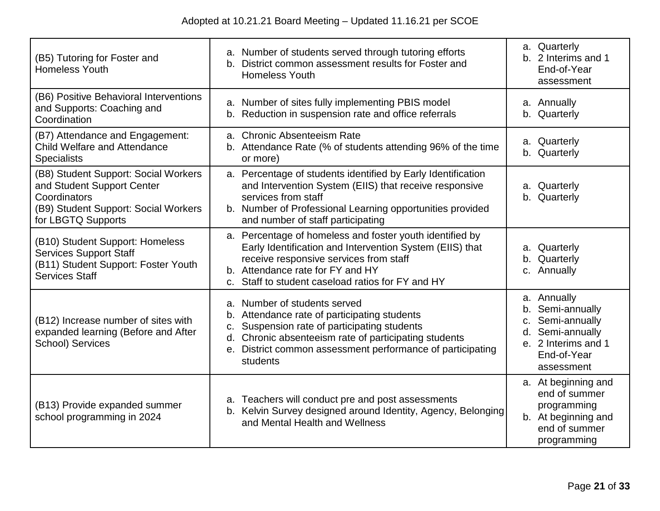| (B5) Tutoring for Foster and<br><b>Homeless Youth</b>                                                                                            | a. Number of students served through tutoring efforts<br>b. District common assessment results for Foster and<br><b>Homeless Youth</b>                                                                                                                          | a. Quarterly<br>b. 2 Interims and 1<br>End-of-Year<br>assessment                                                                           |
|--------------------------------------------------------------------------------------------------------------------------------------------------|-----------------------------------------------------------------------------------------------------------------------------------------------------------------------------------------------------------------------------------------------------------------|--------------------------------------------------------------------------------------------------------------------------------------------|
| (B6) Positive Behavioral Interventions<br>and Supports: Coaching and<br>Coordination                                                             | a. Number of sites fully implementing PBIS model<br>b. Reduction in suspension rate and office referrals                                                                                                                                                        | a. Annually<br>b. Quarterly                                                                                                                |
| (B7) Attendance and Engagement:<br><b>Child Welfare and Attendance</b><br><b>Specialists</b>                                                     | a. Chronic Absenteeism Rate<br>b. Attendance Rate (% of students attending 96% of the time<br>or more)                                                                                                                                                          | a. Quarterly<br>b. Quarterly                                                                                                               |
| (B8) Student Support: Social Workers<br>and Student Support Center<br>Coordinators<br>(B9) Student Support: Social Workers<br>for LBGTQ Supports | a. Percentage of students identified by Early Identification<br>and Intervention System (EIIS) that receive responsive<br>services from staff<br>b. Number of Professional Learning opportunities provided<br>and number of staff participating                 | a. Quarterly<br>b. Quarterly                                                                                                               |
| (B10) Student Support: Homeless<br><b>Services Support Staff</b><br>(B11) Student Support: Foster Youth<br><b>Services Staff</b>                 | a. Percentage of homeless and foster youth identified by<br>Early Identification and Intervention System (EIIS) that<br>receive responsive services from staff<br>b. Attendance rate for FY and HY<br>c. Staff to student caseload ratios for FY and HY         | a. Quarterly<br>b. Quarterly<br>c. Annually                                                                                                |
| (B12) Increase number of sites with<br>expanded learning (Before and After<br><b>School) Services</b>                                            | a. Number of students served<br>b. Attendance rate of participating students<br>c. Suspension rate of participating students<br>d. Chronic absenteeism rate of participating students<br>e. District common assessment performance of participating<br>students | a. Annually<br>Semi-annually<br>b.<br>Semi-annually<br>$C_{\cdot}$<br>d. Semi-annually<br>e. 2 Interims and 1<br>End-of-Year<br>assessment |
| (B13) Provide expanded summer<br>school programming in 2024                                                                                      | a. Teachers will conduct pre and post assessments<br>b. Kelvin Survey designed around Identity, Agency, Belonging<br>and Mental Health and Wellness                                                                                                             | a. At beginning and<br>end of summer<br>programming<br>b. At beginning and<br>end of summer<br>programming                                 |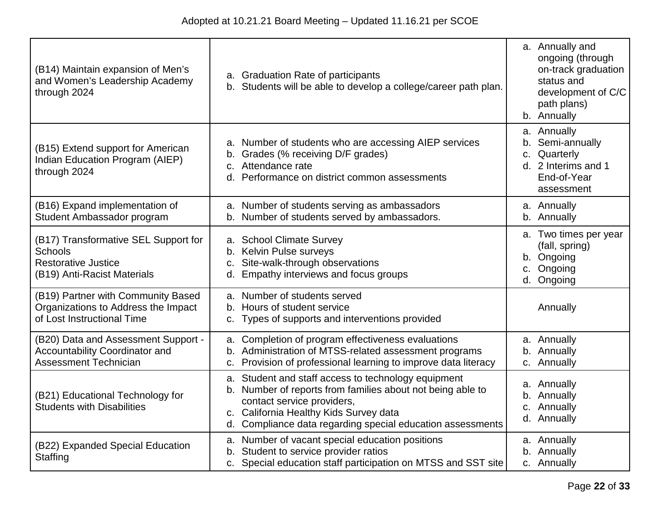| (B14) Maintain expansion of Men's<br>and Women's Leadership Academy<br>through 2024                                 | a. Graduation Rate of participants<br>b. Students will be able to develop a college/career path plan.                                                                                                                                                   | a. Annually and<br>ongoing (through<br>on-track graduation<br>status and<br>development of C/C<br>path plans)<br>b. Annually |
|---------------------------------------------------------------------------------------------------------------------|---------------------------------------------------------------------------------------------------------------------------------------------------------------------------------------------------------------------------------------------------------|------------------------------------------------------------------------------------------------------------------------------|
| (B15) Extend support for American<br>Indian Education Program (AIEP)<br>through 2024                                | a. Number of students who are accessing AIEP services<br>Grades (% receiving D/F grades)<br>Attendance rate<br>$C_{\cdot}$<br>Performance on district common assessments<br>d.                                                                          | a. Annually<br>Semi-annually<br>b.<br>Quarterly<br>C.<br>d. 2 Interims and 1<br>End-of-Year<br>assessment                    |
| (B16) Expand implementation of<br>Student Ambassador program                                                        | a. Number of students serving as ambassadors<br>b. Number of students served by ambassadors.                                                                                                                                                            | a. Annually<br>b. Annually                                                                                                   |
| (B17) Transformative SEL Support for<br><b>Schools</b><br><b>Restorative Justice</b><br>(B19) Anti-Racist Materials | a. School Climate Survey<br>b. Kelvin Pulse surveys<br>c. Site-walk-through observations<br>d. Empathy interviews and focus groups                                                                                                                      | a. Two times per year<br>(fall, spring)<br>b. Ongoing<br>Ongoing<br>C.<br>d. Ongoing                                         |
| (B19) Partner with Community Based<br>Organizations to Address the Impact<br>of Lost Instructional Time             | a. Number of students served<br>b. Hours of student service<br>c. Types of supports and interventions provided                                                                                                                                          | Annually                                                                                                                     |
| (B20) Data and Assessment Support -<br><b>Accountability Coordinator and</b><br><b>Assessment Technician</b>        | a. Completion of program effectiveness evaluations<br>b. Administration of MTSS-related assessment programs<br>c. Provision of professional learning to improve data literacy                                                                           | a. Annually<br>b. Annually<br>c. Annually                                                                                    |
| (B21) Educational Technology for<br><b>Students with Disabilities</b>                                               | a. Student and staff access to technology equipment<br>b. Number of reports from families about not being able to<br>contact service providers,<br>c. California Healthy Kids Survey data<br>d. Compliance data regarding special education assessments | a. Annually<br>b. Annually<br>c. Annually<br>d. Annually                                                                     |
| (B22) Expanded Special Education<br>Staffing                                                                        | a. Number of vacant special education positions<br>b. Student to service provider ratios<br>c. Special education staff participation on MTSS and SST site                                                                                               | a. Annually<br>b. Annually<br>c. Annually                                                                                    |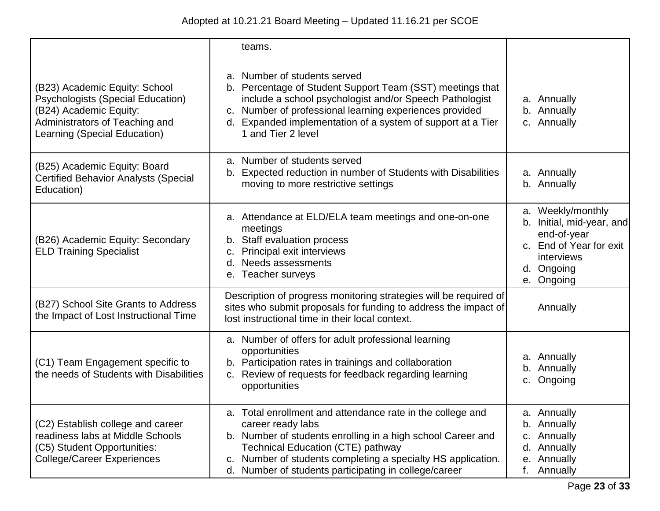|                                                                                                                                                                       | teams.                                                                                                                                                                                                                                                                                                              |                                                                                                                                    |
|-----------------------------------------------------------------------------------------------------------------------------------------------------------------------|---------------------------------------------------------------------------------------------------------------------------------------------------------------------------------------------------------------------------------------------------------------------------------------------------------------------|------------------------------------------------------------------------------------------------------------------------------------|
| (B23) Academic Equity: School<br><b>Psychologists (Special Education)</b><br>(B24) Academic Equity:<br>Administrators of Teaching and<br>Learning (Special Education) | a. Number of students served<br>b. Percentage of Student Support Team (SST) meetings that<br>include a school psychologist and/or Speech Pathologist<br>c. Number of professional learning experiences provided<br>d. Expanded implementation of a system of support at a Tier<br>1 and Tier 2 level                | a. Annually<br>b. Annually<br>c. Annually                                                                                          |
| (B25) Academic Equity: Board<br><b>Certified Behavior Analysts (Special</b><br>Education)                                                                             | a. Number of students served<br>b. Expected reduction in number of Students with Disabilities<br>moving to more restrictive settings                                                                                                                                                                                | a. Annually<br>b. Annually                                                                                                         |
| (B26) Academic Equity: Secondary<br><b>ELD Training Specialist</b>                                                                                                    | a. Attendance at ELD/ELA team meetings and one-on-one<br>meetings<br>b. Staff evaluation process<br><b>Principal exit interviews</b><br>c.<br>Needs assessments<br>d.<br>e. Teacher surveys                                                                                                                         | a. Weekly/monthly<br>b. Initial, mid-year, and<br>end-of-year<br>c. End of Year for exit<br>interviews<br>d. Ongoing<br>e. Ongoing |
| (B27) School Site Grants to Address<br>the Impact of Lost Instructional Time                                                                                          | Description of progress monitoring strategies will be required of<br>sites who submit proposals for funding to address the impact of<br>lost instructional time in their local context.                                                                                                                             | Annually                                                                                                                           |
| (C1) Team Engagement specific to<br>the needs of Students with Disabilities                                                                                           | a. Number of offers for adult professional learning<br>opportunities<br>b. Participation rates in trainings and collaboration<br>c. Review of requests for feedback regarding learning<br>opportunities                                                                                                             | a. Annually<br>b. Annually<br>Ongoing<br>C.                                                                                        |
| (C2) Establish college and career<br>readiness labs at Middle Schools<br>(C5) Student Opportunities:<br>College/Career Experiences                                    | a. Total enrollment and attendance rate in the college and<br>career ready labs<br>b. Number of students enrolling in a high school Career and<br><b>Technical Education (CTE) pathway</b><br>c. Number of students completing a specialty HS application.<br>d. Number of students participating in college/career | a. Annually<br>b. Annually<br>Annually<br>C.<br>Annually<br>d.<br>e. Annually<br>f.<br>Annually                                    |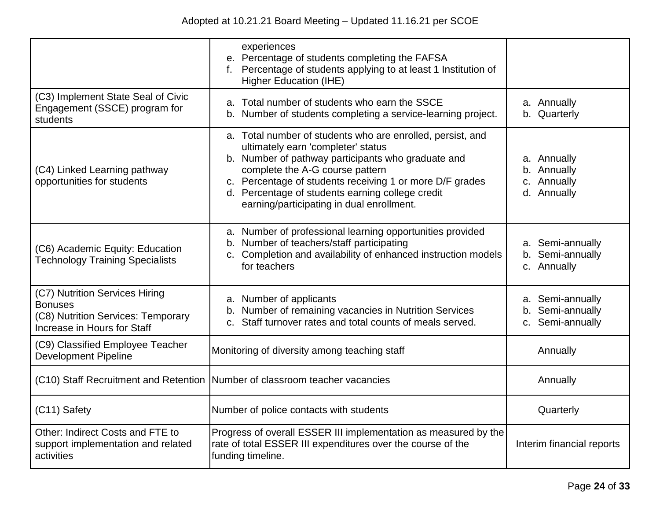|                                                                                                                       | experiences<br>e. Percentage of students completing the FAFSA<br>f. Percentage of students applying to at least 1 Institution of<br><b>Higher Education (IHE)</b>                                                                                                                                                                                      |                                                          |
|-----------------------------------------------------------------------------------------------------------------------|--------------------------------------------------------------------------------------------------------------------------------------------------------------------------------------------------------------------------------------------------------------------------------------------------------------------------------------------------------|----------------------------------------------------------|
| (C3) Implement State Seal of Civic<br>Engagement (SSCE) program for<br>students                                       | a. Total number of students who earn the SSCE<br>b. Number of students completing a service-learning project.                                                                                                                                                                                                                                          | a. Annually<br>b. Quarterly                              |
| (C4) Linked Learning pathway<br>opportunities for students                                                            | a. Total number of students who are enrolled, persist, and<br>ultimately earn 'completer' status<br>b. Number of pathway participants who graduate and<br>complete the A-G course pattern<br>c. Percentage of students receiving 1 or more D/F grades<br>d. Percentage of students earning college credit<br>earning/participating in dual enrollment. | a. Annually<br>b. Annually<br>c. Annually<br>d. Annually |
| (C6) Academic Equity: Education<br><b>Technology Training Specialists</b>                                             | a. Number of professional learning opportunities provided<br>b. Number of teachers/staff participating<br>c. Completion and availability of enhanced instruction models<br>for teachers                                                                                                                                                                | a. Semi-annually<br>b. Semi-annually<br>c. Annually      |
| (C7) Nutrition Services Hiring<br><b>Bonuses</b><br>(C8) Nutrition Services: Temporary<br>Increase in Hours for Staff | a. Number of applicants<br>b. Number of remaining vacancies in Nutrition Services<br>Staff turnover rates and total counts of meals served.                                                                                                                                                                                                            | a. Semi-annually<br>b. Semi-annually<br>c. Semi-annually |
| (C9) Classified Employee Teacher<br><b>Development Pipeline</b>                                                       | Monitoring of diversity among teaching staff                                                                                                                                                                                                                                                                                                           | Annually                                                 |
|                                                                                                                       | (C10) Staff Recruitment and Retention   Number of classroom teacher vacancies                                                                                                                                                                                                                                                                          | Annually                                                 |
| (C11) Safety                                                                                                          | Number of police contacts with students                                                                                                                                                                                                                                                                                                                | Quarterly                                                |
| Other: Indirect Costs and FTE to<br>support implementation and related<br>activities                                  | Progress of overall ESSER III implementation as measured by the<br>rate of total ESSER III expenditures over the course of the<br>funding timeline.                                                                                                                                                                                                    | Interim financial reports                                |
|                                                                                                                       |                                                                                                                                                                                                                                                                                                                                                        |                                                          |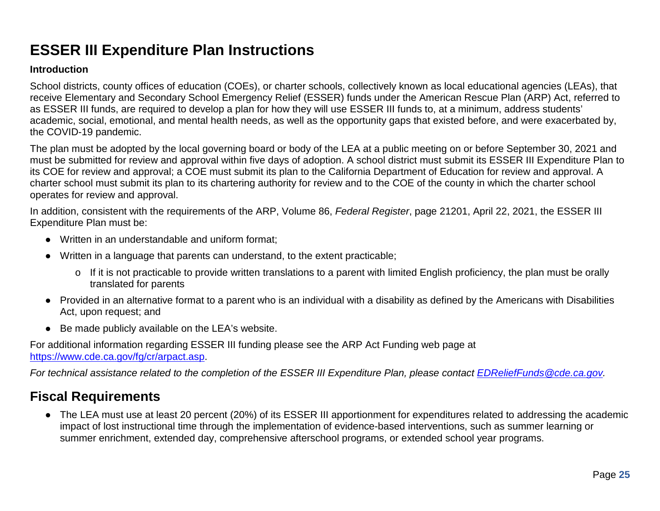# **ESSER III Expenditure Plan Instructions**

### **Introduction**

School districts, county offices of education (COEs), or charter schools, collectively known as local educational agencies (LEAs), that receive Elementary and Secondary School Emergency Relief (ESSER) funds under the American Rescue Plan (ARP) Act, referred to as ESSER III funds, are required to develop a plan for how they will use ESSER III funds to, at a minimum, address students' academic, social, emotional, and mental health needs, as well as the opportunity gaps that existed before, and were exacerbated by, the COVID-19 pandemic.

The plan must be adopted by the local governing board or body of the LEA at a public meeting on or before September 30, 2021 and must be submitted for review and approval within five days of adoption. A school district must submit its ESSER III Expenditure Plan to its COE for review and approval; a COE must submit its plan to the California Department of Education for review and approval. A charter school must submit its plan to its chartering authority for review and to the COE of the county in which the charter school operates for review and approval.

In addition, consistent with the requirements of the ARP, Volume 86, *Federal Register*, page 21201, April 22, 2021, the ESSER III Expenditure Plan must be:

- Written in an understandable and uniform format;
- Written in a language that parents can understand, to the extent practicable;
	- o If it is not practicable to provide written translations to a parent with limited English proficiency, the plan must be orally translated for parents
- Provided in an alternative format to a parent who is an individual with a disability as defined by the Americans with Disabilities Act, upon request; and
- Be made publicly available on the LEA's website.

For additional information regarding ESSER III funding please see the ARP Act Funding web page at [https://www.cde.ca.gov/fg/cr/arpact.asp.](https://www.cde.ca.gov/fg/cr/arpact.asp)

*For technical assistance related to the completion of the ESSER III Expenditure Plan, please contact [EDReliefFunds@cde.ca.gov.](mailto:EDReliefFunds@cde.ca.gov)* 

## **Fiscal Requirements**

● The LEA must use at least 20 percent (20%) of its ESSER III apportionment for expenditures related to addressing the academic impact of lost instructional time through the implementation of evidence-based interventions, such as summer learning or summer enrichment, extended day, comprehensive afterschool programs, or extended school year programs.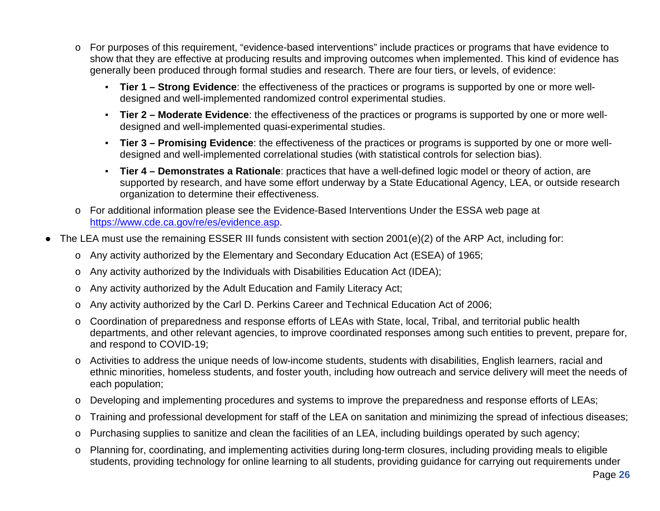- o For purposes of this requirement, "evidence-based interventions" include practices or programs that have evidence to show that they are effective at producing results and improving outcomes when implemented. This kind of evidence has generally been produced through formal studies and research. There are four tiers, or levels, of evidence:
	- **Tier 1 – Strong Evidence**: the effectiveness of the practices or programs is supported by one or more welldesigned and well-implemented randomized control experimental studies.
	- **Tier 2 – Moderate Evidence**: the effectiveness of the practices or programs is supported by one or more welldesigned and well-implemented quasi-experimental studies.
	- **Tier 3 – Promising Evidence**: the effectiveness of the practices or programs is supported by one or more welldesigned and well-implemented correlational studies (with statistical controls for selection bias).
	- **Tier 4 – Demonstrates a Rationale**: practices that have a well-defined logic model or theory of action, are supported by research, and have some effort underway by a State Educational Agency, LEA, or outside research organization to determine their effectiveness.
- o For additional information please see the Evidence-Based Interventions Under the ESSA web page at [https://www.cde.ca.gov/re/es/evidence.asp.](https://www.cde.ca.gov/re/es/evidence.asp)
- The LEA must use the remaining ESSER III funds consistent with section 2001(e)(2) of the ARP Act, including for:
	- o Any activity authorized by the Elementary and Secondary Education Act (ESEA) of 1965;
	- o Any activity authorized by the Individuals with Disabilities Education Act (IDEA);
	- o Any activity authorized by the Adult Education and Family Literacy Act;
	- o Any activity authorized by the Carl D. Perkins Career and Technical Education Act of 2006;
	- o Coordination of preparedness and response efforts of LEAs with State, local, Tribal, and territorial public health departments, and other relevant agencies, to improve coordinated responses among such entities to prevent, prepare for, and respond to COVID-19;
	- o Activities to address the unique needs of low-income students, students with disabilities, English learners, racial and ethnic minorities, homeless students, and foster youth, including how outreach and service delivery will meet the needs of each population;
	- o Developing and implementing procedures and systems to improve the preparedness and response efforts of LEAs;
	- o Training and professional development for staff of the LEA on sanitation and minimizing the spread of infectious diseases;
	- o Purchasing supplies to sanitize and clean the facilities of an LEA, including buildings operated by such agency;
	- o Planning for, coordinating, and implementing activities during long-term closures, including providing meals to eligible students, providing technology for online learning to all students, providing guidance for carrying out requirements under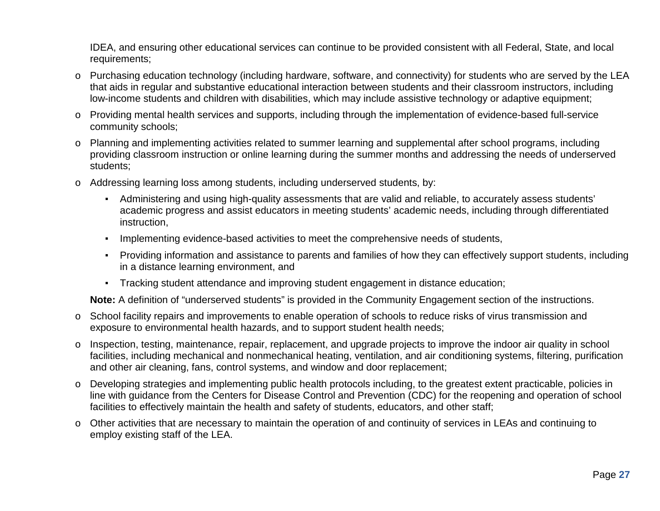IDEA, and ensuring other educational services can continue to be provided consistent with all Federal, State, and local requirements;

- o Purchasing education technology (including hardware, software, and connectivity) for students who are served by the LEA that aids in regular and substantive educational interaction between students and their classroom instructors, including low-income students and children with disabilities, which may include assistive technology or adaptive equipment;
- o Providing mental health services and supports, including through the implementation of evidence-based full-service community schools;
- o Planning and implementing activities related to summer learning and supplemental after school programs, including providing classroom instruction or online learning during the summer months and addressing the needs of underserved students;
- o Addressing learning loss among students, including underserved students, by:
	- Administering and using high-quality assessments that are valid and reliable, to accurately assess students' academic progress and assist educators in meeting students' academic needs, including through differentiated instruction,
	- Implementing evidence-based activities to meet the comprehensive needs of students,
	- Providing information and assistance to parents and families of how they can effectively support students, including in a distance learning environment, and
	- Tracking student attendance and improving student engagement in distance education;

**Note:** A definition of "underserved students" is provided in the Community Engagement section of the instructions.

- o School facility repairs and improvements to enable operation of schools to reduce risks of virus transmission and exposure to environmental health hazards, and to support student health needs;
- o Inspection, testing, maintenance, repair, replacement, and upgrade projects to improve the indoor air quality in school facilities, including mechanical and nonmechanical heating, ventilation, and air conditioning systems, filtering, purification and other air cleaning, fans, control systems, and window and door replacement;
- o Developing strategies and implementing public health protocols including, to the greatest extent practicable, policies in line with guidance from the Centers for Disease Control and Prevention (CDC) for the reopening and operation of school facilities to effectively maintain the health and safety of students, educators, and other staff;
- o Other activities that are necessary to maintain the operation of and continuity of services in LEAs and continuing to employ existing staff of the LEA.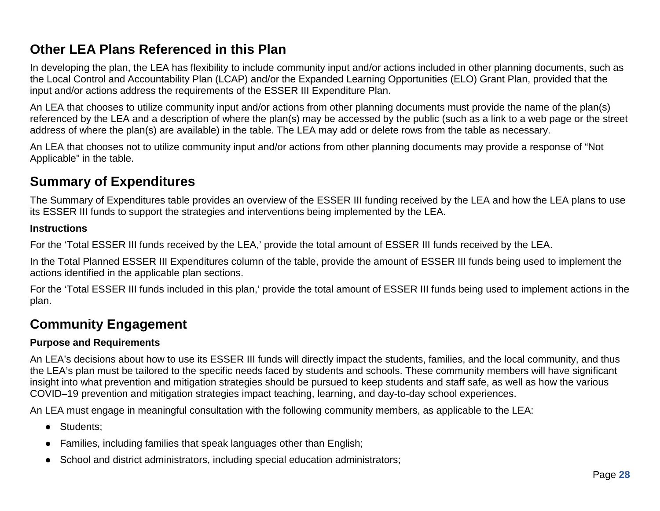## **Other LEA Plans Referenced in this Plan**

In developing the plan, the LEA has flexibility to include community input and/or actions included in other planning documents, such as the Local Control and Accountability Plan (LCAP) and/or the Expanded Learning Opportunities (ELO) Grant Plan, provided that the input and/or actions address the requirements of the ESSER III Expenditure Plan.

An LEA that chooses to utilize community input and/or actions from other planning documents must provide the name of the plan(s) referenced by the LEA and a description of where the plan(s) may be accessed by the public (such as a link to a web page or the street address of where the plan(s) are available) in the table. The LEA may add or delete rows from the table as necessary.

An LEA that chooses not to utilize community input and/or actions from other planning documents may provide a response of "Not Applicable" in the table.

## **Summary of Expenditures**

The Summary of Expenditures table provides an overview of the ESSER III funding received by the LEA and how the LEA plans to use its ESSER III funds to support the strategies and interventions being implemented by the LEA.

#### **Instructions**

For the 'Total ESSER III funds received by the LEA,' provide the total amount of ESSER III funds received by the LEA.

In the Total Planned ESSER III Expenditures column of the table, provide the amount of ESSER III funds being used to implement the actions identified in the applicable plan sections.

For the 'Total ESSER III funds included in this plan,' provide the total amount of ESSER III funds being used to implement actions in the plan.

## **Community Engagement**

### **Purpose and Requirements**

An LEA's decisions about how to use its ESSER III funds will directly impact the students, families, and the local community, and thus the LEA's plan must be tailored to the specific needs faced by students and schools. These community members will have significant insight into what prevention and mitigation strategies should be pursued to keep students and staff safe, as well as how the various COVID–19 prevention and mitigation strategies impact teaching, learning, and day-to-day school experiences.

An LEA must engage in meaningful consultation with the following community members, as applicable to the LEA:

- Students;
- Families, including families that speak languages other than English;
- School and district administrators, including special education administrators;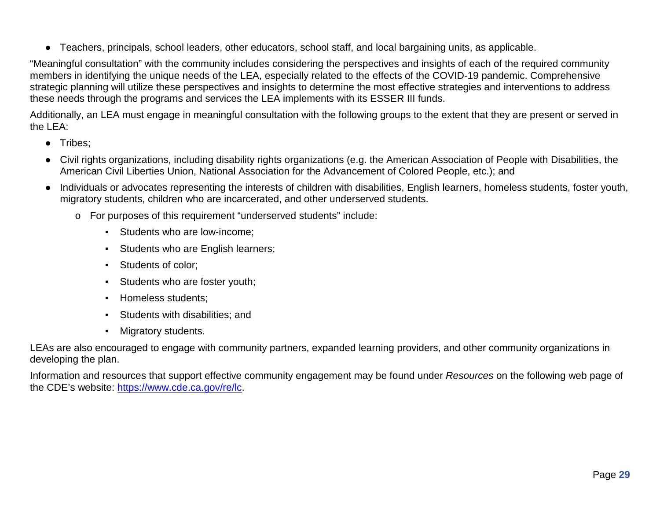● Teachers, principals, school leaders, other educators, school staff, and local bargaining units, as applicable.

"Meaningful consultation" with the community includes considering the perspectives and insights of each of the required community members in identifying the unique needs of the LEA, especially related to the effects of the COVID-19 pandemic. Comprehensive strategic planning will utilize these perspectives and insights to determine the most effective strategies and interventions to address these needs through the programs and services the LEA implements with its ESSER III funds.

Additionally, an LEA must engage in meaningful consultation with the following groups to the extent that they are present or served in the LEA:

- Tribes;
- Civil rights organizations, including disability rights organizations (e.g. the American Association of People with Disabilities, the American Civil Liberties Union, National Association for the Advancement of Colored People, etc.); and
- Individuals or advocates representing the interests of children with disabilities, English learners, homeless students, foster youth, migratory students, children who are incarcerated, and other underserved students.
	- o For purposes of this requirement "underserved students" include:
		- **EXECUTE:** Students who are low-income:
		- Students who are English learners;
		- Students of color;
		- Students who are foster youth;
		- Homeless students;
		- Students with disabilities; and
		- Migratory students.

LEAs are also encouraged to engage with community partners, expanded learning providers, and other community organizations in developing the plan.

Information and resources that support effective community engagement may be found under *Resources* on the following web page of the CDE's website: [https://www.cde.ca.gov/re/lc.](https://www.cde.ca.gov/re/lc)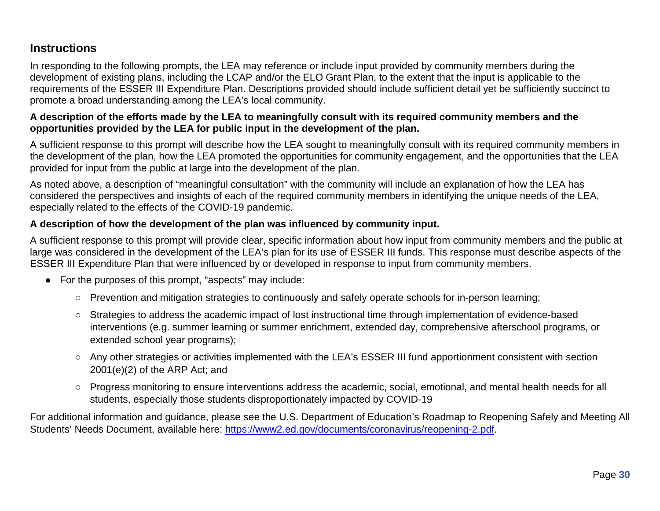### **Instructions**

In responding to the following prompts, the LEA may reference or include input provided by community members during the development of existing plans, including the LCAP and/or the ELO Grant Plan, to the extent that the input is applicable to the requirements of the ESSER III Expenditure Plan. Descriptions provided should include sufficient detail yet be sufficiently succinct to promote a broad understanding among the LEA's local community.

### **A description of the efforts made by the LEA to meaningfully consult with its required community members and the opportunities provided by the LEA for public input in the development of the plan.**

A sufficient response to this prompt will describe how the LEA sought to meaningfully consult with its required community members in the development of the plan, how the LEA promoted the opportunities for community engagement, and the opportunities that the LEA provided for input from the public at large into the development of the plan.

As noted above, a description of "meaningful consultation" with the community will include an explanation of how the LEA has considered the perspectives and insights of each of the required community members in identifying the unique needs of the LEA, especially related to the effects of the COVID-19 pandemic.

### **A description of how the development of the plan was influenced by community input.**

A sufficient response to this prompt will provide clear, specific information about how input from community members and the public at large was considered in the development of the LEA's plan for its use of ESSER III funds. This response must describe aspects of the ESSER III Expenditure Plan that were influenced by or developed in response to input from community members.

- For the purposes of this prompt, "aspects" may include:
	- Prevention and mitigation strategies to continuously and safely operate schools for in-person learning;
	- Strategies to address the academic impact of lost instructional time through implementation of evidence-based interventions (e.g. summer learning or summer enrichment, extended day, comprehensive afterschool programs, or extended school year programs);
	- Any other strategies or activities implemented with the LEA's ESSER III fund apportionment consistent with section 2001(e)(2) of the ARP Act; and
	- Progress monitoring to ensure interventions address the academic, social, emotional, and mental health needs for all students, especially those students disproportionately impacted by COVID-19

For additional information and guidance, please see the U.S. Department of Education's Roadmap to Reopening Safely and Meeting All Students' Needs Document, available here: [https://www2.ed.gov/documents/coronavirus/reopening-2.pdf.](https://www2.ed.gov/documents/coronavirus/reopening-2.pdf)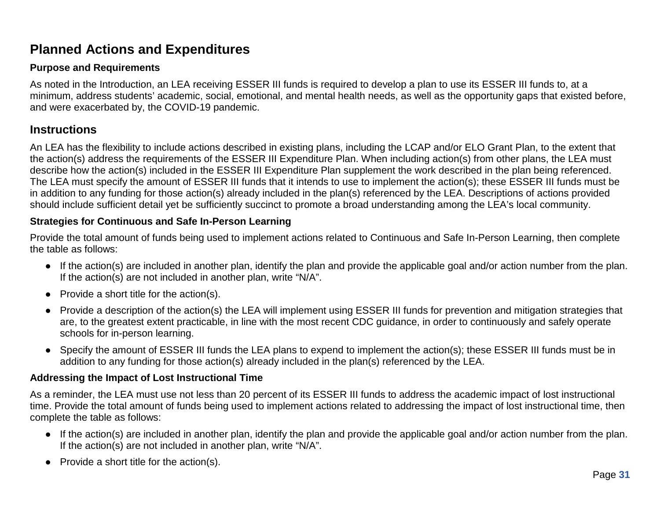# **Planned Actions and Expenditures**

### **Purpose and Requirements**

As noted in the Introduction, an LEA receiving ESSER III funds is required to develop a plan to use its ESSER III funds to, at a minimum, address students' academic, social, emotional, and mental health needs, as well as the opportunity gaps that existed before, and were exacerbated by, the COVID-19 pandemic.

### **Instructions**

An LEA has the flexibility to include actions described in existing plans, including the LCAP and/or ELO Grant Plan, to the extent that the action(s) address the requirements of the ESSER III Expenditure Plan. When including action(s) from other plans, the LEA must describe how the action(s) included in the ESSER III Expenditure Plan supplement the work described in the plan being referenced. The LEA must specify the amount of ESSER III funds that it intends to use to implement the action(s); these ESSER III funds must be in addition to any funding for those action(s) already included in the plan(s) referenced by the LEA. Descriptions of actions provided should include sufficient detail yet be sufficiently succinct to promote a broad understanding among the LEA's local community.

### **Strategies for Continuous and Safe In-Person Learning**

Provide the total amount of funds being used to implement actions related to Continuous and Safe In-Person Learning, then complete the table as follows:

- If the action(s) are included in another plan, identify the plan and provide the applicable goal and/or action number from the plan. If the action(s) are not included in another plan, write "N/A".
- $\bullet$  Provide a short title for the action(s).
- Provide a description of the action(s) the LEA will implement using ESSER III funds for prevention and mitigation strategies that are, to the greatest extent practicable, in line with the most recent CDC guidance, in order to continuously and safely operate schools for in-person learning.
- Specify the amount of ESSER III funds the LEA plans to expend to implement the action(s); these ESSER III funds must be in addition to any funding for those action(s) already included in the plan(s) referenced by the LEA.

### **Addressing the Impact of Lost Instructional Time**

As a reminder, the LEA must use not less than 20 percent of its ESSER III funds to address the academic impact of lost instructional time. Provide the total amount of funds being used to implement actions related to addressing the impact of lost instructional time, then complete the table as follows:

- If the action(s) are included in another plan, identify the plan and provide the applicable goal and/or action number from the plan. If the action(s) are not included in another plan, write "N/A".
- $\bullet$  Provide a short title for the action(s).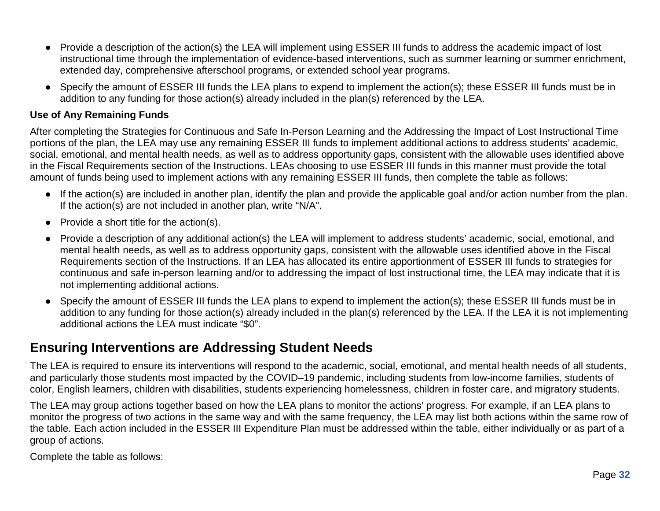- Provide a description of the action(s) the LEA will implement using ESSER III funds to address the academic impact of lost instructional time through the implementation of evidence-based interventions, such as summer learning or summer enrichment, extended day, comprehensive afterschool programs, or extended school year programs.
- Specify the amount of ESSER III funds the LEA plans to expend to implement the action(s); these ESSER III funds must be in addition to any funding for those action(s) already included in the plan(s) referenced by the LEA.

#### **Use of Any Remaining Funds**

After completing the Strategies for Continuous and Safe In-Person Learning and the Addressing the Impact of Lost Instructional Time portions of the plan, the LEA may use any remaining ESSER III funds to implement additional actions to address students' academic, social, emotional, and mental health needs, as well as to address opportunity gaps, consistent with the allowable uses identified above in the Fiscal Requirements section of the Instructions. LEAs choosing to use ESSER III funds in this manner must provide the total amount of funds being used to implement actions with any remaining ESSER III funds, then complete the table as follows:

- If the action(s) are included in another plan, identify the plan and provide the applicable goal and/or action number from the plan. If the action(s) are not included in another plan, write "N/A".
- $\bullet$  Provide a short title for the action(s).
- Provide a description of any additional action(s) the LEA will implement to address students' academic, social, emotional, and mental health needs, as well as to address opportunity gaps, consistent with the allowable uses identified above in the Fiscal Requirements section of the Instructions. If an LEA has allocated its entire apportionment of ESSER III funds to strategies for continuous and safe in-person learning and/or to addressing the impact of lost instructional time, the LEA may indicate that it is not implementing additional actions.
- Specify the amount of ESSER III funds the LEA plans to expend to implement the action(s); these ESSER III funds must be in addition to any funding for those action(s) already included in the plan(s) referenced by the LEA. If the LEA it is not implementing additional actions the LEA must indicate "\$0".

## **Ensuring Interventions are Addressing Student Needs**

The LEA is required to ensure its interventions will respond to the academic, social, emotional, and mental health needs of all students, and particularly those students most impacted by the COVID–19 pandemic, including students from low-income families, students of color, English learners, children with disabilities, students experiencing homelessness, children in foster care, and migratory students.

The LEA may group actions together based on how the LEA plans to monitor the actions' progress. For example, if an LEA plans to monitor the progress of two actions in the same way and with the same frequency, the LEA may list both actions within the same row of the table. Each action included in the ESSER III Expenditure Plan must be addressed within the table, either individually or as part of a group of actions.

Complete the table as follows: